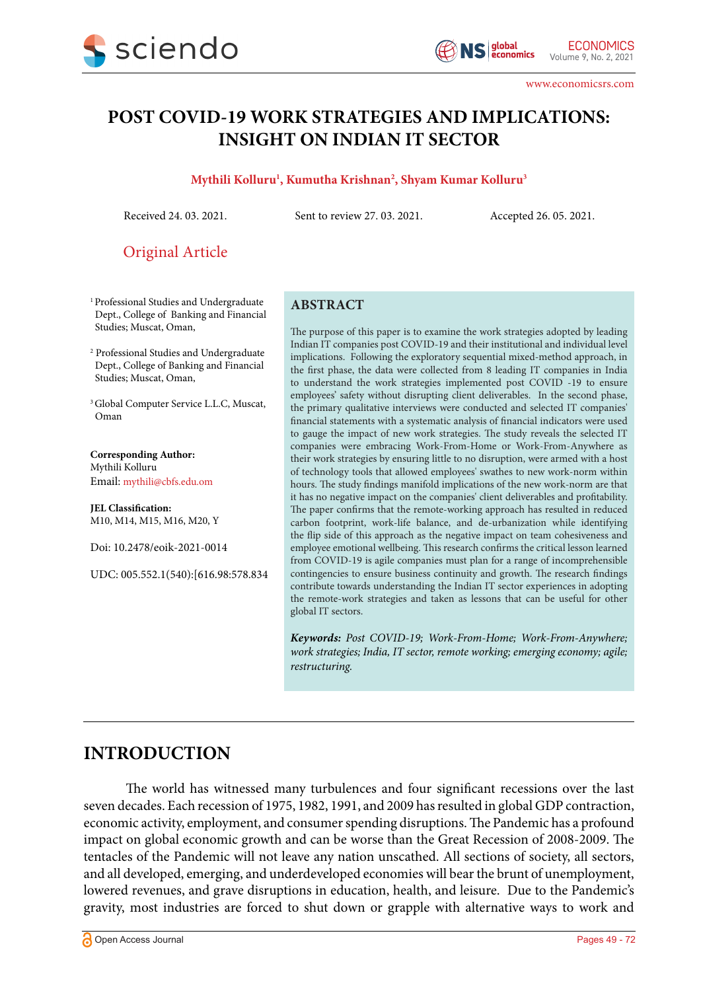

www.economicsrs.com

# **POST COVID-19 WORK STRATEGIES AND IMPLICATIONS: INSIGHT ON INDIAN IT SECTOR**

## **Mythili Kolluru1 , Kumutha Krishnan2 , Shyam Kumar Kolluru3**

Received 24. 03. 2021. Sent to review 27. 03. 2021. Accepted 26. 05. 2021.

Original Article

- 1 Professional Studies and Undergraduate Dept., College of Banking and Financial Studies; Muscat, Oman,
- 2 Professional Studies and Undergraduate Dept., College of Banking and Financial Studies; Muscat, Oman,
- <sup>3</sup> Global Computer Service L.L.C, Muscat, Oman

**Corresponding Author:** Mythili Kolluru Email: mythili@cbfs.edu.om

**JEL Classification:** M10, M14, M15, M16, M20, Y

Doi: 10.2478/eoik-2021-0014

UDC: 005.552.1(540):[616.98:578.834

#### **ABSTRACT**

The purpose of this paper is to examine the work strategies adopted by leading Indian IT companies post COVID-19 and their institutional and individual level implications. Following the exploratory sequential mixed-method approach, in the first phase, the data were collected from 8 leading IT companies in India to understand the work strategies implemented post COVID -19 to ensure employees' safety without disrupting client deliverables. In the second phase, the primary qualitative interviews were conducted and selected IT companies' financial statements with a systematic analysis of financial indicators were used to gauge the impact of new work strategies. The study reveals the selected IT companies were embracing Work-From-Home or Work-From-Anywhere as their work strategies by ensuring little to no disruption, were armed with a host of technology tools that allowed employees' swathes to new work-norm within hours. The study findings manifold implications of the new work-norm are that it has no negative impact on the companies' client deliverables and profitability. The paper confirms that the remote-working approach has resulted in reduced carbon footprint, work-life balance, and de-urbanization while identifying the flip side of this approach as the negative impact on team cohesiveness and employee emotional wellbeing. This research confirms the critical lesson learned from COVID-19 is agile companies must plan for a range of incomprehensible contingencies to ensure business continuity and growth. The research findings contribute towards understanding the Indian IT sector experiences in adopting the remote-work strategies and taken as lessons that can be useful for other global IT sectors.

*Keywords: Post COVID-19; Work-From-Home; Work-From-Anywhere; work strategies; India, IT sector, remote working; emerging economy; agile; restructuring.*

# **INTRODUCTION**

The world has witnessed many turbulences and four significant recessions over the last seven decades. Each recession of 1975, 1982, 1991, and 2009 has resulted in global GDP contraction, economic activity, employment, and consumer spending disruptions. The Pandemic has a profound impact on global economic growth and can be worse than the Great Recession of 2008-2009. The tentacles of the Pandemic will not leave any nation unscathed. All sections of society, all sectors, and all developed, emerging, and underdeveloped economies will bear the brunt of unemployment, lowered revenues, and grave disruptions in education, health, and leisure. Due to the Pandemic's gravity, most industries are forced to shut down or grapple with alternative ways to work and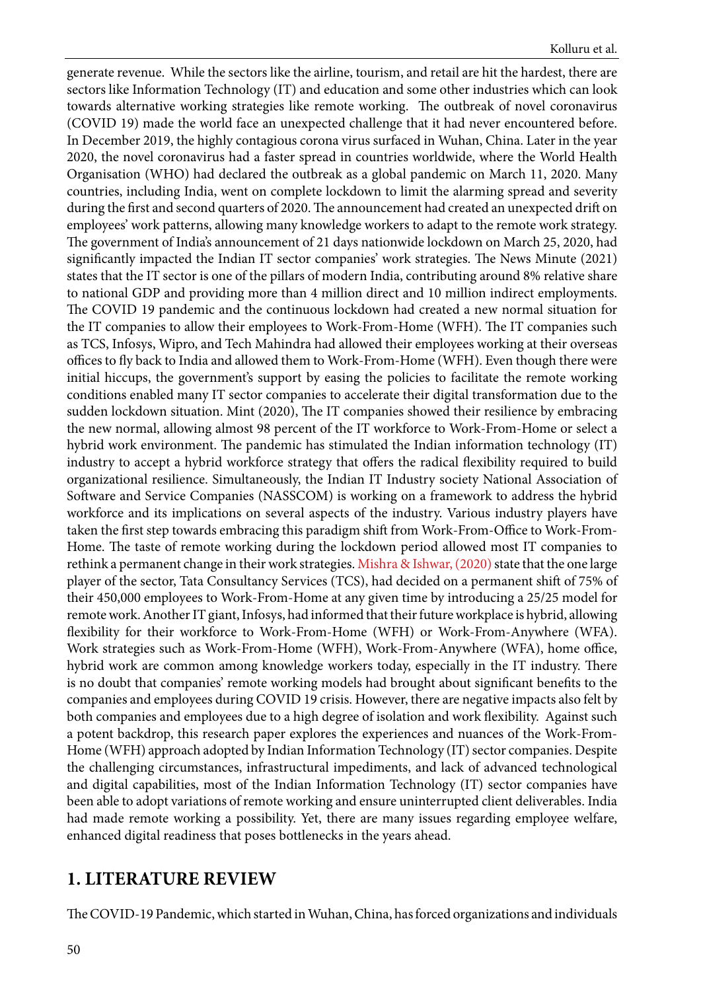generate revenue. While the sectors like the airline, tourism, and retail are hit the hardest, there are sectors like Information Technology (IT) and education and some other industries which can look towards alternative working strategies like remote working. The outbreak of novel coronavirus (COVID 19) made the world face an unexpected challenge that it had never encountered before. In December 2019, the highly contagious corona virus surfaced in Wuhan, China. Later in the year 2020, the novel coronavirus had a faster spread in countries worldwide, where the World Health Organisation (WHO) had declared the outbreak as a global pandemic on March 11, 2020. Many countries, including India, went on complete lockdown to limit the alarming spread and severity during the first and second quarters of 2020. The announcement had created an unexpected drift on employees' work patterns, allowing many knowledge workers to adapt to the remote work strategy. The government of India's announcement of 21 days nationwide lockdown on March 25, 2020, had significantly impacted the Indian IT sector companies' work strategies. The News Minute (2021) states that the IT sector is one of the pillars of modern India, contributing around 8% relative share to national GDP and providing more than 4 million direct and 10 million indirect employments. The COVID 19 pandemic and the continuous lockdown had created a new normal situation for the IT companies to allow their employees to Work-From-Home (WFH). The IT companies such as TCS, Infosys, Wipro, and Tech Mahindra had allowed their employees working at their overseas offices to fly back to India and allowed them to Work-From-Home (WFH). Even though there were initial hiccups, the government's support by easing the policies to facilitate the remote working conditions enabled many IT sector companies to accelerate their digital transformation due to the sudden lockdown situation. Mint (2020), The IT companies showed their resilience by embracing the new normal, allowing almost 98 percent of the IT workforce to Work-From-Home or select a hybrid work environment. The pandemic has stimulated the Indian information technology (IT) industry to accept a hybrid workforce strategy that offers the radical flexibility required to build organizational resilience. Simultaneously, the Indian IT Industry society National Association of Software and Service Companies (NASSCOM) is working on a framework to address the hybrid workforce and its implications on several aspects of the industry. Various industry players have taken the first step towards embracing this paradigm shift from Work-From-Office to Work-From-Home. The taste of remote working during the lockdown period allowed most IT companies to rethink a permanent change in their work strategies. [Mishra & Ishwar, \(2020\)](#page-21-0) state that the one large player of the sector, Tata Consultancy Services (TCS), had decided on a permanent shift of 75% of their 450,000 employees to Work-From-Home at any given time by introducing a 25/25 model for remote work. Another IT giant, Infosys, had informed that their future workplace is hybrid, allowing flexibility for their workforce to Work-From-Home (WFH) or Work-From-Anywhere (WFA). Work strategies such as Work-From-Home (WFH), Work-From-Anywhere (WFA), home office, hybrid work are common among knowledge workers today, especially in the IT industry. There is no doubt that companies' remote working models had brought about significant benefits to the companies and employees during COVID 19 crisis. However, there are negative impacts also felt by both companies and employees due to a high degree of isolation and work flexibility. Against such a potent backdrop, this research paper explores the experiences and nuances of the Work-From-Home (WFH) approach adopted by Indian Information Technology (IT) sector companies. Despite the challenging circumstances, infrastructural impediments, and lack of advanced technological and digital capabilities, most of the Indian Information Technology (IT) sector companies have been able to adopt variations of remote working and ensure uninterrupted client deliverables. India had made remote working a possibility. Yet, there are many issues regarding employee welfare, enhanced digital readiness that poses bottlenecks in the years ahead.

# **1. LITERATURE REVIEW**

The COVID-19 Pandemic, which started in Wuhan, China, has forced organizations and individuals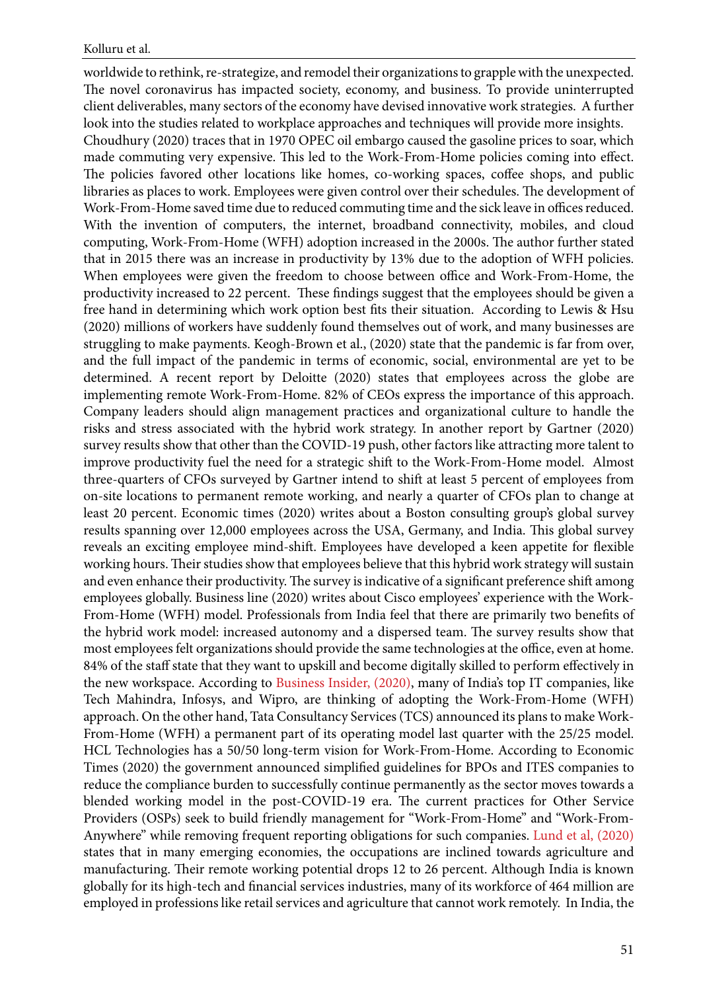worldwide to rethink, re-strategize, and remodel their organizations to grapple with the unexpected. The novel coronavirus has impacted society, economy, and business. To provide uninterrupted client deliverables, many sectors of the economy have devised innovative work strategies. A further look into the studies related to workplace approaches and techniques will provide more insights.

Choudhury (2020) traces that in 1970 OPEC oil embargo caused the gasoline prices to soar, which made commuting very expensive. This led to the Work-From-Home policies coming into effect. The policies favored other locations like homes, co-working spaces, coffee shops, and public libraries as places to work. Employees were given control over their schedules. The development of Work-From-Home saved time due to reduced commuting time and the sick leave in offices reduced. With the invention of computers, the internet, broadband connectivity, mobiles, and cloud computing, Work-From-Home (WFH) adoption increased in the 2000s. The author further stated that in 2015 there was an increase in productivity by 13% due to the adoption of WFH policies. When employees were given the freedom to choose between office and Work-From-Home, the productivity increased to 22 percent. These findings suggest that the employees should be given a free hand in determining which work option best fits their situation. According to Lewis & Hsu (2020) millions of workers have suddenly found themselves out of work, and many businesses are struggling to make payments. Keogh-Brown et al., (2020) state that the pandemic is far from over, and the full impact of the pandemic in terms of economic, social, environmental are yet to be determined. A recent report by Deloitte (2020) states that employees across the globe are implementing remote Work-From-Home. 82% of CEOs express the importance of this approach. Company leaders should align management practices and organizational culture to handle the risks and stress associated with the hybrid work strategy. In another report by Gartner (2020) survey results show that other than the COVID-19 push, other factors like attracting more talent to improve productivity fuel the need for a strategic shift to the Work-From-Home model. Almost three-quarters of CFOs surveyed by Gartner intend to shift at least 5 percent of employees from on-site locations to permanent remote working, and nearly a quarter of CFOs plan to change at least 20 percent. Economic times (2020) writes about a Boston consulting group's global survey results spanning over 12,000 employees across the USA, Germany, and India. This global survey reveals an exciting employee mind-shift. Employees have developed a keen appetite for flexible working hours. Their studies show that employees believe that this hybrid work strategy will sustain and even enhance their productivity. The survey is indicative of a significant preference shift among employees globally. Business line (2020) writes about Cisco employees' experience with the Work-From-Home (WFH) model. Professionals from India feel that there are primarily two benefits of the hybrid work model: increased autonomy and a dispersed team. The survey results show that most employees felt organizations should provide the same technologies at the office, even at home. 84% of the staff state that they want to upskill and become digitally skilled to perform effectively in the new workspace. According to [Business Insider, \(2020\)](#page-19-0), many of India's top IT companies, like Tech Mahindra, Infosys, and Wipro, are thinking of adopting the Work-From-Home (WFH) approach. On the other hand, Tata Consultancy Services (TCS) announced its plans to make Work-From-Home (WFH) a permanent part of its operating model last quarter with the 25/25 model. HCL Technologies has a 50/50 long-term vision for Work-From-Home. According to Economic Times (2020) the government announced simplified guidelines for BPOs and ITES companies to reduce the compliance burden to successfully continue permanently as the sector moves towards a blended working model in the post-COVID-19 era. The current practices for Other Service Providers (OSPs) seek to build friendly management for "Work-From-Home" and "Work-From-Anywhere" while removing frequent reporting obligations for such companies. [Lund et al, \(2020\)](#page-21-0) states that in many emerging economies, the occupations are inclined towards agriculture and manufacturing. Their remote working potential drops 12 to 26 percent. Although India is known globally for its high-tech and financial services industries, many of its workforce of 464 million are employed in professions like retail services and agriculture that cannot work remotely. In India, the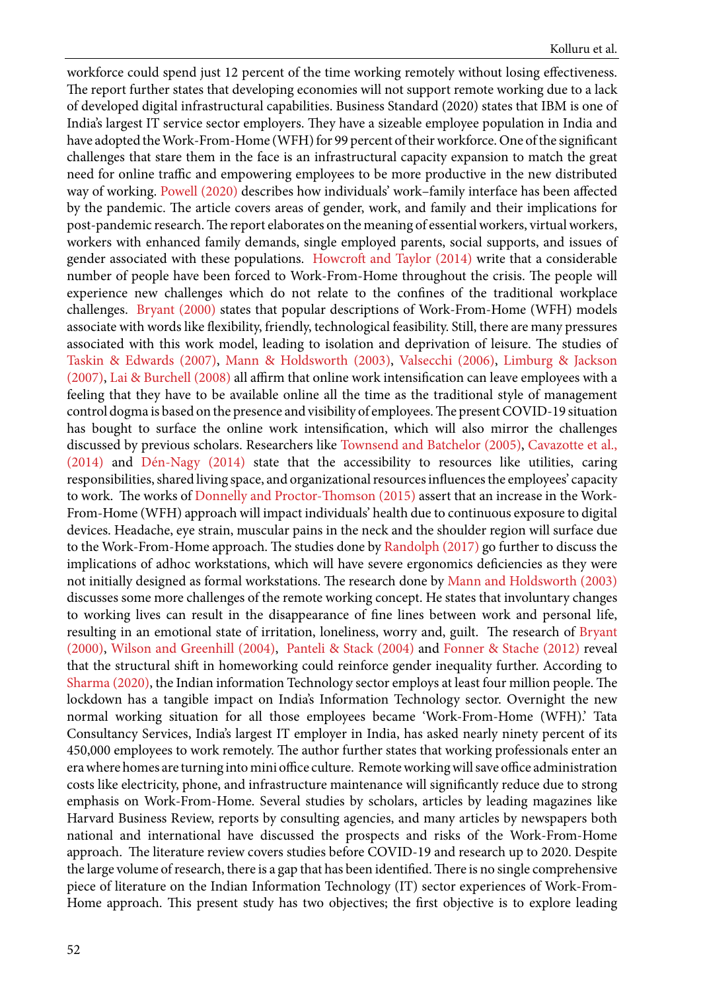workforce could spend just 12 percent of the time working remotely without losing effectiveness. The report further states that developing economies will not support remote working due to a lack of developed digital infrastructural capabilities. Business Standard (2020) states that IBM is one of India's largest IT service sector employers. They have a sizeable employee population in India and have adopted the Work-From-Home (WFH) for 99 percent of their workforce. One of the significant challenges that stare them in the face is an infrastructural capacity expansion to match the great need for online traffic and empowering employees to be more productive in the new distributed way of working. [Powell \(2020\)](#page-21-0) describes how individuals' work–family interface has been affected by the pandemic. The article covers areas of gender, work, and family and their implications for post-pandemic research. The report elaborates on the meaning of essential workers, virtual workers, workers with enhanced family demands, single employed parents, social supports, and issues of gender associated with these populations. [Howcroft and Taylor \(2014\)](#page-21-0) write that a considerable number of people have been forced to Work-From-Home throughout the crisis. The people will experience new challenges which do not relate to the confines of the traditional workplace challenges. [Bryant \(2000\)](#page-20-0) states that popular descriptions of Work-From-Home (WFH) models associate with words like flexibility, friendly, technological feasibility. Still, there are many pressures associated with this work model, leading to isolation and deprivation of leisure. The studies of [Taskin & Edwards \(2007\),](#page-23-0) [Mann & Holdsworth \(2003\),](#page-22-0) Valsecchi (2006), [Limburg & Jackson](#page-22-0) [\(2007\)](#page-22-0), [Lai & Burchell \(2008\)](#page-22-0) all affirm that online work intensification can leave employees with a feeling that they have to be available online all the time as the traditional style of management control dogma is based on the presence and visibility of employees. The present COVID-19 situation has bought to surface the online work intensification, which will also mirror the challenges discussed by previous scholars. Researchers like Townsend and Batchelor (2005), [Cavazotte et al.,](#page-20-0) [\(2014\)](#page-20-0) and [Dén-Nagy \(2014\)](#page-20-0) state that the accessibility to resources like utilities, caring responsibilities, shared living space, and organizational resources influences the employees' capacity to work. The works of [Donnelly and Proctor-Thomson \(2015\)](#page-20-0) assert that an increase in the Work-From-Home (WFH) approach will impact individuals' health due to continuous exposure to digital devices. Headache, eye strain, muscular pains in the neck and the shoulder region will surface due to the Work-From-Home approach. The studies done by [Randolph \(2017\)](#page-22-0) go further to discuss the implications of adhoc workstations, which will have severe ergonomics deficiencies as they were not initially designed as formal workstations. The research done by [Mann and Holdsworth \(2003\)](#page-22-0) discusses some more challenges of the remote working concept. He states that involuntary changes to working lives can result in the disappearance of fine lines between work and personal life, resulting in an emotional state of irritation, loneliness, worry and, guilt. The research of [Bryant](#page-20-0) [\(2000\)](#page-20-0), Wilson and Greenhill (2004), [Panteli & Stack \(2004\)](#page-22-0) and [Fonner & Stache \(2012\)](#page-21-0) reveal that the structural shift in homeworking could reinforce gender inequality further. According to [Sharma \(2020\)](#page-23-0), the Indian information Technology sector employs at least four million people. The lockdown has a tangible impact on India's Information Technology sector. Overnight the new normal working situation for all those employees became 'Work-From-Home (WFH).' Tata Consultancy Services, India's largest IT employer in India, has asked nearly ninety percent of its 450,000 employees to work remotely. The author further states that working professionals enter an era where homes are turning into mini office culture. Remote working will save office administration costs like electricity, phone, and infrastructure maintenance will significantly reduce due to strong emphasis on Work-From-Home. Several studies by scholars, articles by leading magazines like Harvard Business Review, reports by consulting agencies, and many articles by newspapers both national and international have discussed the prospects and risks of the Work-From-Home approach. The literature review covers studies before COVID-19 and research up to 2020. Despite the large volume of research, there is a gap that has been identified. There is no single comprehensive piece of literature on the Indian Information Technology (IT) sector experiences of Work-From-Home approach. This present study has two objectives; the first objective is to explore leading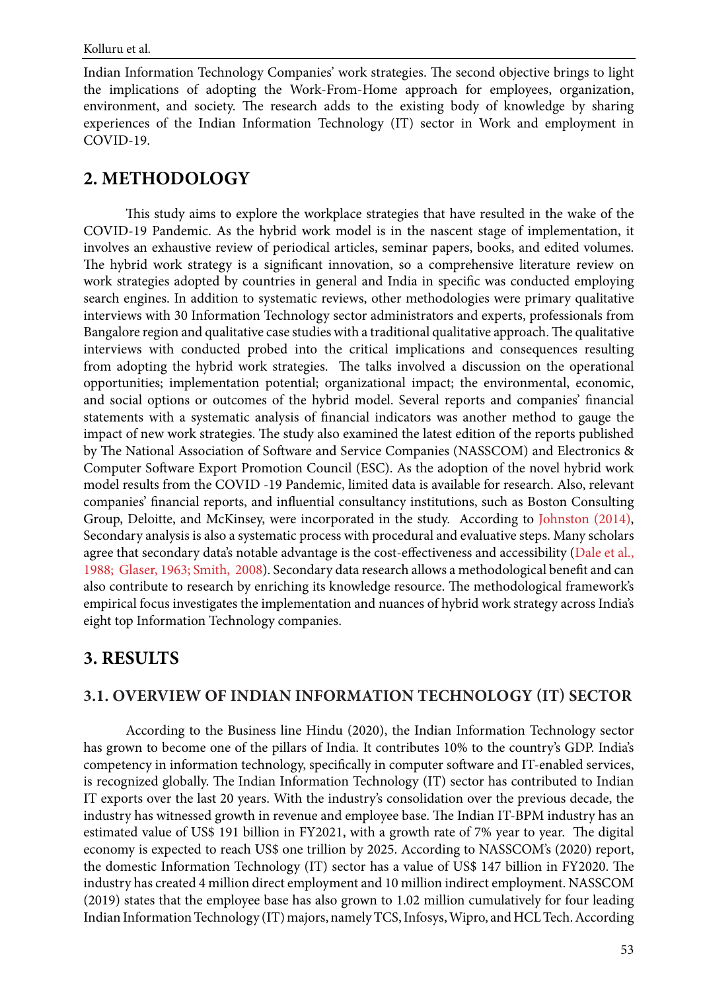Indian Information Technology Companies' work strategies. The second objective brings to light the implications of adopting the Work-From-Home approach for employees, organization, environment, and society. The research adds to the existing body of knowledge by sharing experiences of the Indian Information Technology (IT) sector in Work and employment in COVID-19.

# **2. METHODOLOGY**

This study aims to explore the workplace strategies that have resulted in the wake of the COVID-19 Pandemic. As the hybrid work model is in the nascent stage of implementation, it involves an exhaustive review of periodical articles, seminar papers, books, and edited volumes. The hybrid work strategy is a significant innovation, so a comprehensive literature review on work strategies adopted by countries in general and India in specific was conducted employing search engines. In addition to systematic reviews, other methodologies were primary qualitative interviews with 30 Information Technology sector administrators and experts, professionals from Bangalore region and qualitative case studies with a traditional qualitative approach. The qualitative interviews with conducted probed into the critical implications and consequences resulting from adopting the hybrid work strategies. The talks involved a discussion on the operational opportunities; implementation potential; organizational impact; the environmental, economic, and social options or outcomes of the hybrid model. Several reports and companies' financial statements with a systematic analysis of financial indicators was another method to gauge the impact of new work strategies. The study also examined the latest edition of the reports published by The National Association of Software and Service Companies (NASSCOM) and Electronics & Computer Software Export Promotion Council (ESC). As the adoption of the novel hybrid work model results from the COVID -19 Pandemic, limited data is available for research. Also, relevant companies' financial reports, and influential consultancy institutions, such as Boston Consulting Group, Deloitte, and McKinsey, were incorporated in the study. According to [Johnston \(2014\)](#page-21-0), Secondary analysis is also a systematic process with procedural and evaluative steps. Many scholars agree that secondary data's notable advantage is the cost-effectiveness and accessibility [\(Dale et al.,](#page-20-0)  [1988; Glaser, 1963; Smith, 2008\)](#page-20-0). Secondary data research allows a methodological benefit and can also contribute to research by enriching its knowledge resource. The methodological framework's empirical focus investigates the implementation and nuances of hybrid work strategy across India's eight top Information Technology companies.

# **3. RESULTS**

# **3.1. OVERVIEW OF INDIAN INFORMATION TECHNOLOGY (IT) SECTOR**

According to the Business line Hindu (2020), the Indian Information Technology sector has grown to become one of the pillars of India. It contributes 10% to the country's GDP. India's competency in information technology, specifically in computer software and IT-enabled services, is recognized globally. The Indian Information Technology (IT) sector has contributed to Indian IT exports over the last 20 years. With the industry's consolidation over the previous decade, the industry has witnessed growth in revenue and employee base. The Indian IT-BPM industry has an estimated value of US\$ 191 billion in FY2021, with a growth rate of 7% year to year. The digital economy is expected to reach US\$ one trillion by 2025. According to NASSCOM's (2020) report, the domestic Information Technology (IT) sector has a value of US\$ 147 billion in FY2020. The industry has created 4 million direct employment and 10 million indirect employment. NASSCOM (2019) states that the employee base has also grown to 1.02 million cumulatively for four leading Indian Information Technology (IT) majors, namely TCS, Infosys, Wipro, and HCL Tech. According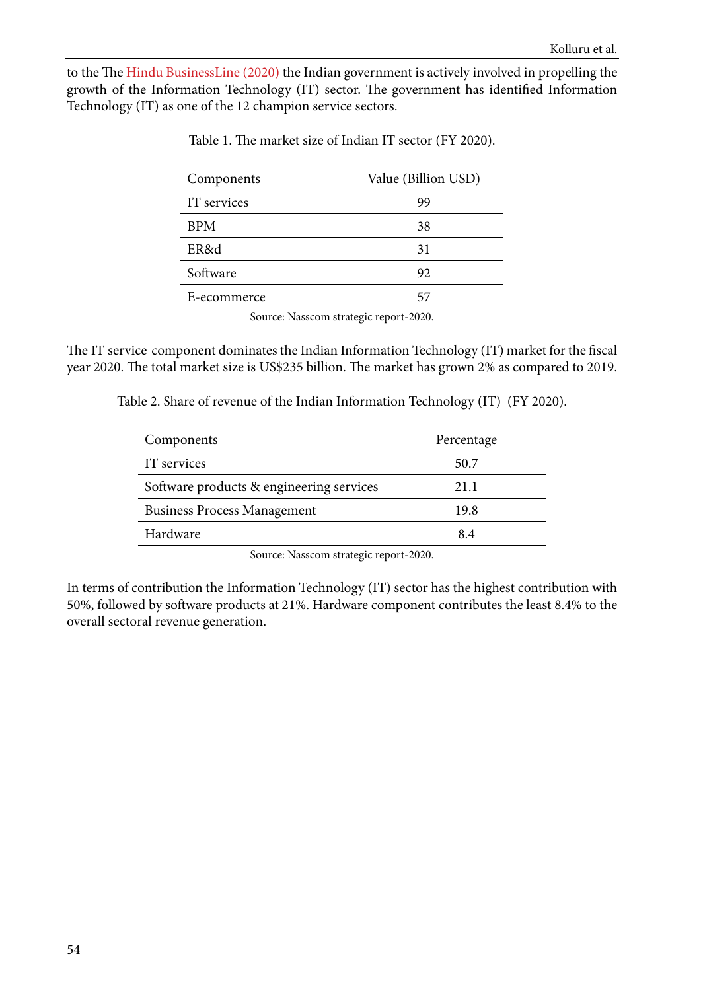to the The [Hindu BusinessLine \(2020\)](#page-21-0) the Indian government is actively involved in propelling the growth of the Information Technology (IT) sector. The government has identified Information Technology (IT) as one of the 12 champion service sectors.

| Components  | Value (Billion USD) |
|-------------|---------------------|
| IT services | 99                  |
| <b>BPM</b>  | 38                  |
| ER&d        | 31                  |
| Software    | 92                  |
| E-ecommerce | 57                  |

Table 1. The market size of Indian IT sector (FY 2020).

Source: Nasscom strategic report-2020.

The IT service component dominates the Indian Information Technology (IT) market for the fiscal year 2020. The total market size is US\$235 billion. The market has grown 2% as compared to 2019.

Table 2. Share of revenue of the Indian Information Technology (IT) (FY 2020).

| Components                               | Percentage |
|------------------------------------------|------------|
| IT services                              | 50.7       |
| Software products & engineering services | 21.1       |
| <b>Business Process Management</b>       | 19.8       |
| Hardware                                 | 8.4        |
|                                          |            |

Source: Nasscom strategic report-2020.

In terms of contribution the Information Technology (IT) sector has the highest contribution with 50%, followed by software products at 21%. Hardware component contributes the least 8.4% to the overall sectoral revenue generation.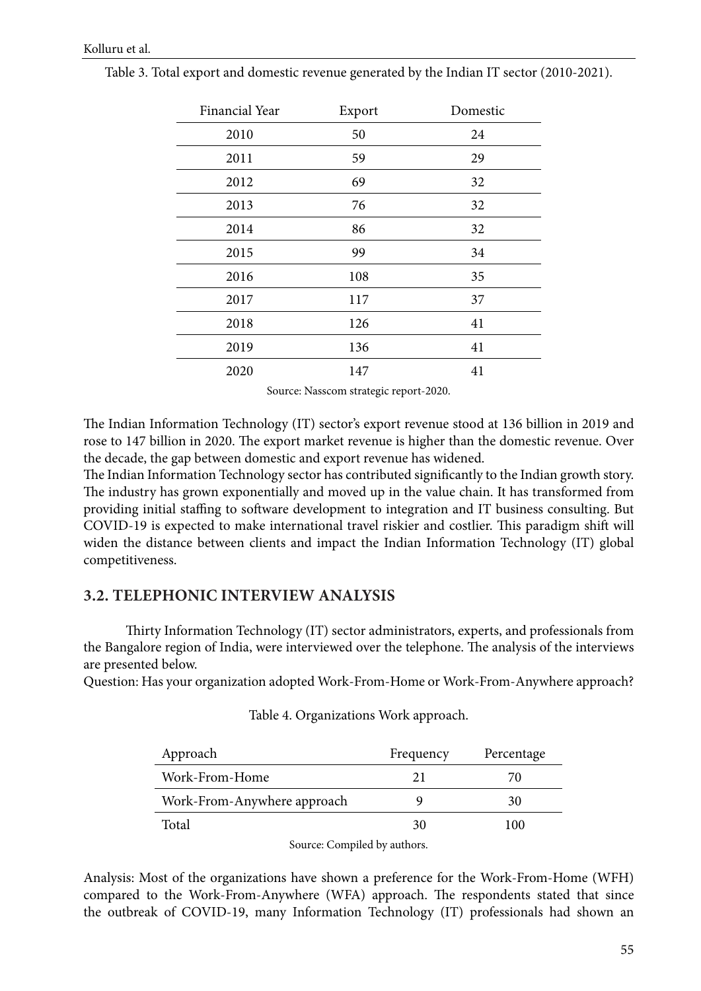| Financial Year | Export | Domestic |
|----------------|--------|----------|
| 2010           | 50     | 24       |
| 2011           | 59     | 29       |
| 2012           | 69     | 32       |
| 2013           | 76     | 32       |
| 2014           | 86     | 32       |
| 2015           | 99     | 34       |
| 2016           | 108    | 35       |
| 2017           | 117    | 37       |
| 2018           | 126    | 41       |
| 2019           | 136    | 41       |
| 2020           | 147    | 41       |

Table 3. Total export and domestic revenue generated by the Indian IT sector (2010-2021).

Source: Nasscom strategic report-2020.

The Indian Information Technology (IT) sector's export revenue stood at 136 billion in 2019 and rose to 147 billion in 2020. The export market revenue is higher than the domestic revenue. Over the decade, the gap between domestic and export revenue has widened.

The Indian Information Technology sector has contributed significantly to the Indian growth story. The industry has grown exponentially and moved up in the value chain. It has transformed from providing initial staffing to software development to integration and IT business consulting. But COVID-19 is expected to make international travel riskier and costlier. This paradigm shift will widen the distance between clients and impact the Indian Information Technology (IT) global competitiveness.

## **3.2. TELEPHONIC INTERVIEW ANALYSIS**

Thirty Information Technology (IT) sector administrators, experts, and professionals from the Bangalore region of India, were interviewed over the telephone. The analysis of the interviews are presented below.

Question: Has your organization adopted Work-From-Home or Work-From-Anywhere approach?

| Table 4. Organizations Work approach. |  |
|---------------------------------------|--|
|---------------------------------------|--|

| Approach                    | Frequency | Percentage |
|-----------------------------|-----------|------------|
| Work-From-Home              | 21        | 70         |
| Work-From-Anywhere approach |           | 30         |
| Total                       | 30        | 100        |

Source: Compiled by authors.

Analysis: Most of the organizations have shown a preference for the Work-From-Home (WFH) compared to the Work-From-Anywhere (WFA) approach. The respondents stated that since the outbreak of COVID-19, many Information Technology (IT) professionals had shown an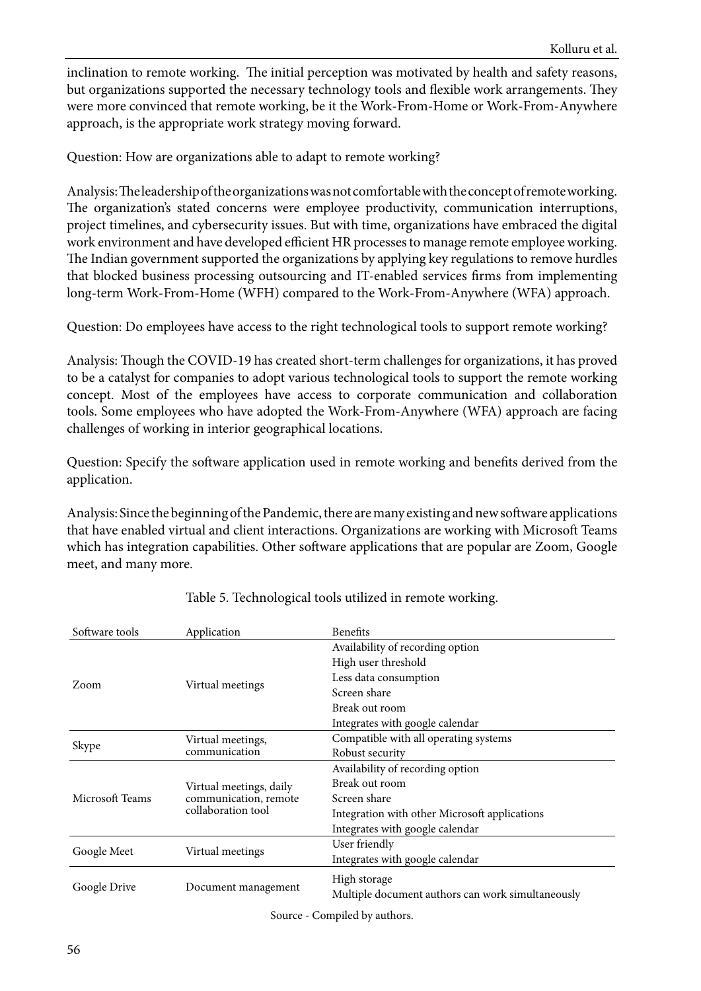inclination to remote working. The initial perception was motivated by health and safety reasons, but organizations supported the necessary technology tools and flexible work arrangements. They were more convinced that remote working, be it the Work-From-Home or Work-From-Anywhere approach, is the appropriate work strategy moving forward.

Question: How are organizations able to adapt to remote working?

Analysis: The leadership of the organizations was not comfortable with the concept of remote working. The organization's stated concerns were employee productivity, communication interruptions, project timelines, and cybersecurity issues. But with time, organizations have embraced the digital work environment and have developed efficient HR processes to manage remote employee working. The Indian government supported the organizations by applying key regulations to remove hurdles that blocked business processing outsourcing and IT-enabled services firms from implementing long-term Work-From-Home (WFH) compared to the Work-From-Anywhere (WFA) approach.

Question: Do employees have access to the right technological tools to support remote working?

Analysis: Though the COVID-19 has created short-term challenges for organizations, it has proved to be a catalyst for companies to adopt various technological tools to support the remote working concept. Most of the employees have access to corporate communication and collaboration tools. Some employees who have adopted the Work-From-Anywhere (WFA) approach are facing challenges of working in interior geographical locations.

Question: Specify the software application used in remote working and benefits derived from the application.

Analysis: Since the beginning of the Pandemic, there are many existing and new software applications that have enabled virtual and client interactions. Organizations are working with Microsoft Teams which has integration capabilities. Other software applications that are popular are Zoom, Google meet, and many more.

| Software tools  | Application                                      | <b>Benefits</b>                                   |
|-----------------|--------------------------------------------------|---------------------------------------------------|
|                 |                                                  | Availability of recording option                  |
|                 |                                                  | High user threshold                               |
|                 |                                                  | Less data consumption                             |
| Zoom            | Virtual meetings                                 | Screen share                                      |
|                 |                                                  | Break out room                                    |
|                 |                                                  | Integrates with google calendar                   |
|                 | Virtual meetings,                                | Compatible with all operating systems             |
| Skype           | communication                                    | Robust security                                   |
|                 |                                                  | Availability of recording option                  |
| Microsoft Teams | Virtual meetings, daily<br>communication, remote | Break out room                                    |
|                 |                                                  | Screen share                                      |
|                 | collaboration tool                               | Integration with other Microsoft applications     |
|                 |                                                  | Integrates with google calendar                   |
|                 |                                                  | User friendly                                     |
| Google Meet     | Virtual meetings                                 | Integrates with google calendar                   |
|                 |                                                  | High storage                                      |
| Google Drive    | Document management                              | Multiple document authors can work simultaneously |
|                 |                                                  | Course Compiled by outhors                        |

Table 5. Technological tools utilized in remote working.

Source - Compiled by authors.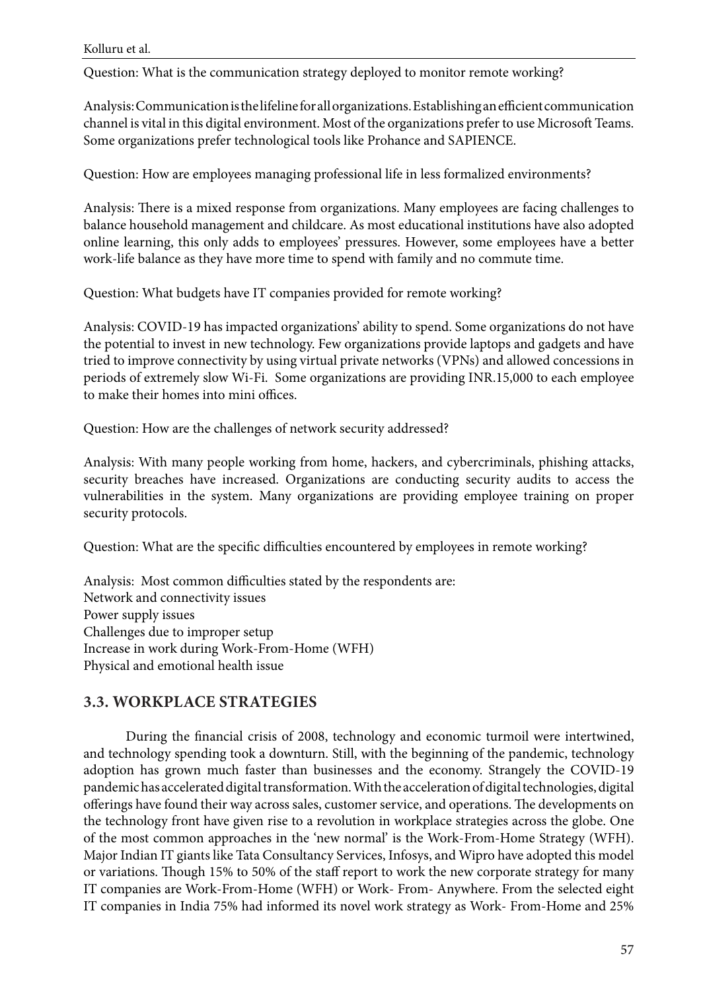Question: What is the communication strategy deployed to monitor remote working?

Analysis: Communication is the lifeline for all organizations. Establishing an efficient communication channel is vital in this digital environment. Most of the organizations prefer to use Microsoft Teams. Some organizations prefer technological tools like Prohance and SAPIENCE.

Question: How are employees managing professional life in less formalized environments?

Analysis: There is a mixed response from organizations. Many employees are facing challenges to balance household management and childcare. As most educational institutions have also adopted online learning, this only adds to employees' pressures. However, some employees have a better work-life balance as they have more time to spend with family and no commute time.

Question: What budgets have IT companies provided for remote working?

Analysis: COVID-19 has impacted organizations' ability to spend. Some organizations do not have the potential to invest in new technology. Few organizations provide laptops and gadgets and have tried to improve connectivity by using virtual private networks (VPNs) and allowed concessions in periods of extremely slow Wi-Fi. Some organizations are providing INR.15,000 to each employee to make their homes into mini offices.

Question: How are the challenges of network security addressed?

Analysis: With many people working from home, hackers, and cybercriminals, phishing attacks, security breaches have increased. Organizations are conducting security audits to access the vulnerabilities in the system. Many organizations are providing employee training on proper security protocols.

Question: What are the specific difficulties encountered by employees in remote working?

Analysis: Most common difficulties stated by the respondents are: Network and connectivity issues Power supply issues Challenges due to improper setup Increase in work during Work-From-Home (WFH) Physical and emotional health issue

# **3.3. WORKPLACE STRATEGIES**

During the financial crisis of 2008, technology and economic turmoil were intertwined, and technology spending took a downturn. Still, with the beginning of the pandemic, technology adoption has grown much faster than businesses and the economy. Strangely the COVID-19 pandemic has accelerated digital transformation. With the acceleration of digital technologies, digital offerings have found their way across sales, customer service, and operations. The developments on the technology front have given rise to a revolution in workplace strategies across the globe. One of the most common approaches in the 'new normal' is the Work-From-Home Strategy (WFH). Major Indian IT giants like Tata Consultancy Services, Infosys, and Wipro have adopted this model or variations. Though 15% to 50% of the staff report to work the new corporate strategy for many IT companies are Work-From-Home (WFH) or Work- From- Anywhere. From the selected eight IT companies in India 75% had informed its novel work strategy as Work- From-Home and 25%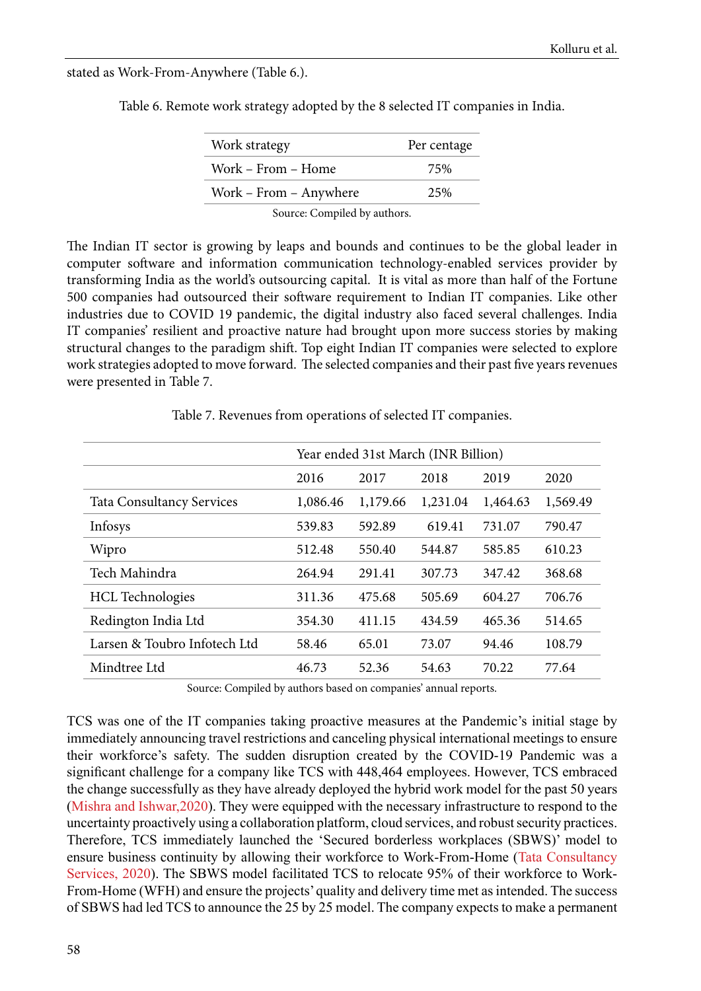stated as Work-From-Anywhere (Table 6.).

| Work strategy                | Per centage |
|------------------------------|-------------|
| Work – From – Home           | 75%         |
| Work – From – Anywhere       | 2.5%        |
| Source: Compiled by authors. |             |

Table 6. Remote work strategy adopted by the 8 selected IT companies in India.

The Indian IT sector is growing by leaps and bounds and continues to be the global leader in computer software and information communication technology-enabled services provider by transforming India as the world's outsourcing capital. It is vital as more than half of the Fortune 500 companies had outsourced their software requirement to Indian IT companies. Like other industries due to COVID 19 pandemic, the digital industry also faced several challenges. India IT companies' resilient and proactive nature had brought upon more success stories by making structural changes to the paradigm shift. Top eight Indian IT companies were selected to explore work strategies adopted to move forward. The selected companies and their past five years revenues were presented in Table 7.

Table 7. Revenues from operations of selected IT companies.

|                                  | Year ended 31st March (INR Billion) |          |          |          |          |  |
|----------------------------------|-------------------------------------|----------|----------|----------|----------|--|
|                                  | 2016                                | 2017     | 2018     | 2019     | 2020     |  |
| <b>Tata Consultancy Services</b> | 1,086.46                            | 1,179.66 | 1,231.04 | 1,464.63 | 1,569.49 |  |
| Infosys                          | 539.83                              | 592.89   | 619.41   | 731.07   | 790.47   |  |
| Wipro                            | 512.48                              | 550.40   | 544.87   | 585.85   | 610.23   |  |
| Tech Mahindra                    | 264.94                              | 291.41   | 307.73   | 347.42   | 368.68   |  |
| <b>HCL</b> Technologies          | 311.36                              | 475.68   | 505.69   | 604.27   | 706.76   |  |
| Redington India Ltd              | 354.30                              | 411.15   | 434.59   | 465.36   | 514.65   |  |
| Larsen & Toubro Infotech Ltd     | 58.46                               | 65.01    | 73.07    | 94.46    | 108.79   |  |
| Mindtree Ltd                     | 46.73                               | 52.36    | 54.63    | 70.22    | 77.64    |  |

Source: Compiled by authors based on companies' annual reports.

TCS was one of the IT companies taking proactive measures at the Pandemic's initial stage by immediately announcing travel restrictions and canceling physical international meetings to ensure their workforce's safety. The sudden disruption created by the COVID-19 Pandemic was a significant challenge for a company like TCS with 448,464 employees. However, TCS embraced the change successfully as they have already deployed the hybrid work model for the past 50 years ([Mishra and Ishwar,2020\)](#page-22-0). They were equipped with the necessary infrastructure to respond to the uncertainty proactively using a collaboration platform, cloud services, and robust security practices. Therefore, TCS immediately launched the 'Secured borderless workplaces (SBWS)' model to ensure business continuity by allowing their workforce to Work-From-Home ([Tata Consultancy](#page-23-0) [Services, 2020](#page-23-0)). The SBWS model facilitated TCS to relocate 95% of their workforce to Work-From-Home (WFH) and ensure the projects' quality and delivery time met as intended. The success of SBWS had led TCS to announce the 25 by 25 model. The company expects to make a permanent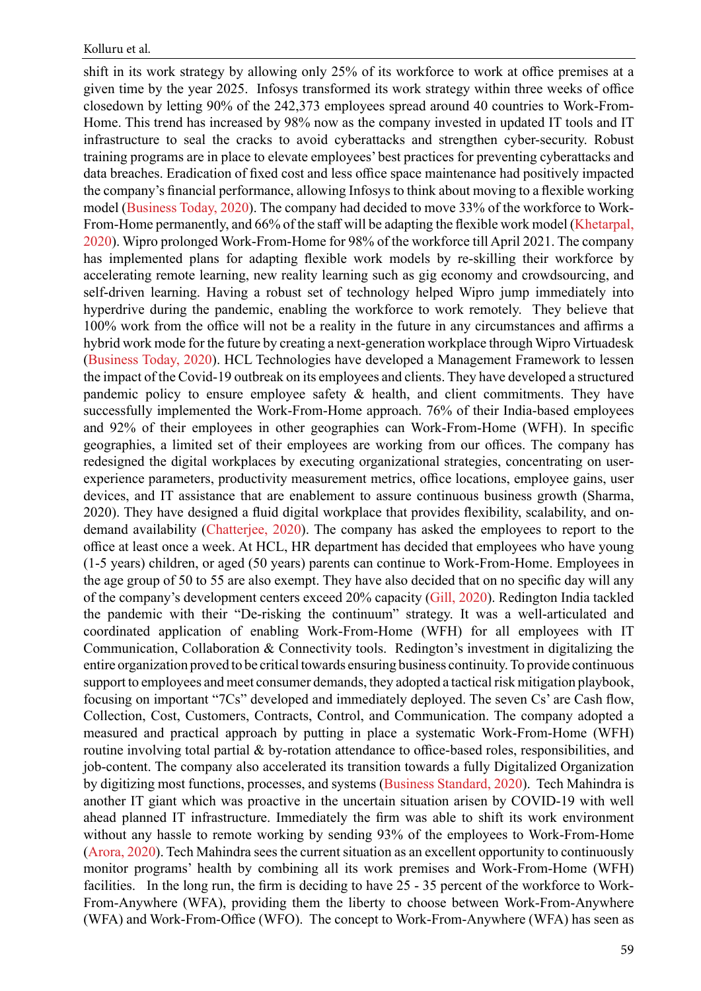shift in its work strategy by allowing only 25% of its workforce to work at office premises at a given time by the year 2025. Infosys transformed its work strategy within three weeks of office closedown by letting 90% of the 242,373 employees spread around 40 countries to Work-From-Home. This trend has increased by 98% now as the company invested in updated IT tools and IT infrastructure to seal the cracks to avoid cyberattacks and strengthen cyber-security. Robust training programs are in place to elevate employees' best practices for preventing cyberattacks and data breaches. Eradication of fixed cost and less office space maintenance had positively impacted the company's financial performance, allowing Infosys to think about moving to a flexible working model ([Business Today, 2020](#page-20-0)). The company had decided to move 33% of the workforce to Work-From-Home permanently, and 66% of the staff will be adapting the flexible work model [\(Khetarpal,](#page-22-0)  [2020\)](#page-22-0). Wipro prolonged Work-From-Home for 98% of the workforce till April 2021. The company has implemented plans for adapting flexible work models by re-skilling their workforce by accelerating remote learning, new reality learning such as gig economy and crowdsourcing, and self-driven learning. Having a robust set of technology helped Wipro jump immediately into hyperdrive during the pandemic, enabling the workforce to work remotely. They believe that 100% work from the office will not be a reality in the future in any circumstances and affirms a hybrid work mode for the future by creating a next-generation workplace through Wipro Virtuadesk ([Business Today, 2020](#page-20-0)). HCL Technologies have developed a Management Framework to lessen the impact of the Covid-19 outbreak on its employees and clients. They have developed a structured pandemic policy to ensure employee safety & health, and client commitments. They have successfully implemented the Work-From-Home approach. 76% of their India-based employees and 92% of their employees in other geographies can Work-From-Home (WFH). In specific geographies, a limited set of their employees are working from our offices. The company has redesigned the digital workplaces by executing organizational strategies, concentrating on userexperience parameters, productivity measurement metrics, office locations, employee gains, user devices, and IT assistance that are enablement to assure continuous business growth (Sharma, 2020). They have designed a fluid digital workplace that provides flexibility, scalability, and ondemand availability ([Chatterjee, 2020](#page-20-0)). The company has asked the employees to report to the office at least once a week. At HCL, HR department has decided that employees who have young (1-5 years) children, or aged (50 years) parents can continue to Work-From-Home. Employees in the age group of 50 to 55 are also exempt. They have also decided that on no specific day will any of the company's development centers exceed 20% capacity [\(Gill, 2020\)](#page-21-0). Redington India tackled the pandemic with their "De-risking the continuum" strategy. It was a well-articulated and coordinated application of enabling Work-From-Home (WFH) for all employees with IT Communication, Collaboration & Connectivity tools. Redington's investment in digitalizing the entire organization proved to be critical towards ensuring business continuity. To provide continuous support to employees and meet consumer demands, they adopted a tactical risk mitigation playbook, focusing on important "7Cs" developed and immediately deployed. The seven Cs' are Cash flow, Collection, Cost, Customers, Contracts, Control, and Communication. The company adopted a measured and practical approach by putting in place a systematic Work-From-Home (WFH) routine involving total partial & by-rotation attendance to office-based roles, responsibilities, and job-content. The company also accelerated its transition towards a fully Digitalized Organization by digitizing most functions, processes, and systems [\(Business Standard, 2020\)](#page-20-0). Tech Mahindra is another IT giant which was proactive in the uncertain situation arisen by COVID-19 with well ahead planned IT infrastructure. Immediately the firm was able to shift its work environment without any hassle to remote working by sending 93% of the employees to Work-From-Home ([Arora, 2020](#page-20-0)). Tech Mahindra sees the current situation as an excellent opportunity to continuously monitor programs' health by combining all its work premises and Work-From-Home (WFH) facilities. In the long run, the firm is deciding to have 25 - 35 percent of the workforce to Work-From-Anywhere (WFA), providing them the liberty to choose between Work-From-Anywhere (WFA) and Work-From-Office (WFO). The concept to Work-From-Anywhere (WFA) has seen as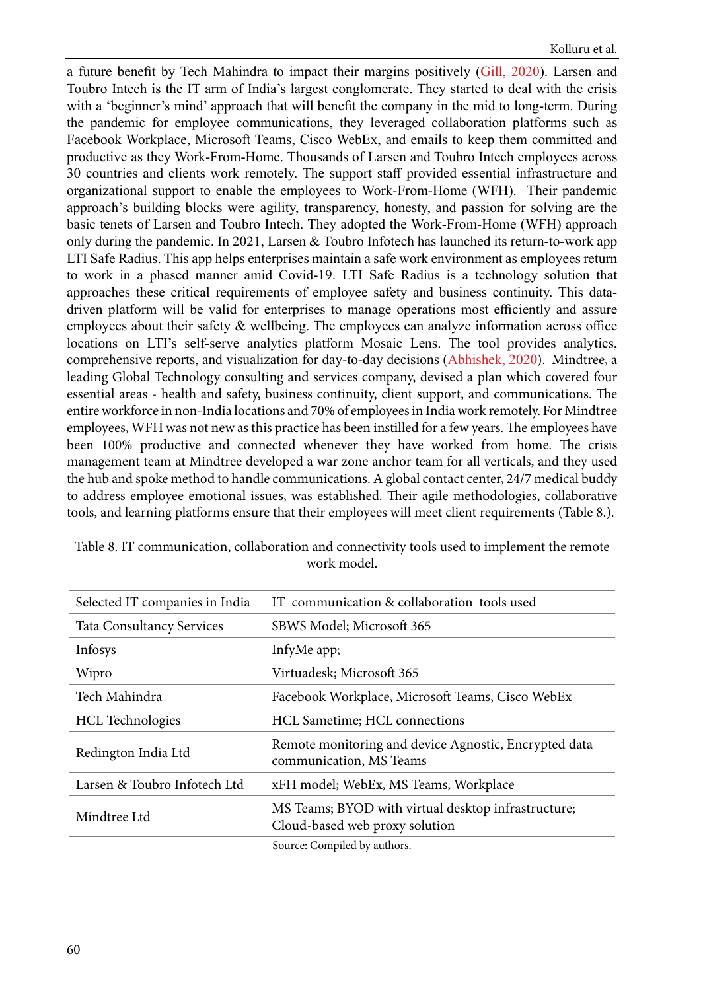a future benefit by Tech Mahindra to impact their margins positively [\(Gill, 2020](#page-21-0)). Larsen and Toubro Intech is the IT arm of India's largest conglomerate. They started to deal with the crisis with a 'beginner's mind' approach that will benefit the company in the mid to long-term. During the pandemic for employee communications, they leveraged collaboration platforms such as Facebook Workplace, Microsoft Teams, Cisco WebEx, and emails to keep them committed and productive as they Work-From-Home. Thousands of Larsen and Toubro Intech employees across 30 countries and clients work remotely. The support staff provided essential infrastructure and organizational support to enable the employees to Work-From-Home (WFH). Their pandemic approach's building blocks were agility, transparency, honesty, and passion for solving are the basic tenets of Larsen and Toubro Intech. They adopted the Work-From-Home (WFH) approach only during the pandemic. In 2021, Larsen & Toubro Infotech has launched its return-to-work app LTI Safe Radius. This app helps enterprises maintain a safe work environment as employees return to work in a phased manner amid Covid-19. LTI Safe Radius is a technology solution that approaches these critical requirements of employee safety and business continuity. This datadriven platform will be valid for enterprises to manage operations most efficiently and assure employees about their safety & wellbeing. The employees can analyze information across office locations on LTI's self-serve analytics platform Mosaic Lens. The tool provides analytics, comprehensive reports, and visualization for day-to-day decisions ([Abhishek, 2020](#page-20-0)). Mindtree, a leading Global Technology consulting and services company, devised a plan which covered four essential areas - health and safety, business continuity, client support, and communications. The entire workforce in non-India locations and 70% of employees in India work remotely. For Mindtree employees, WFH was not new as this practice has been instilled for a few years. The employees have been 100% productive and connected whenever they have worked from home. The crisis management team at Mindtree developed a war zone anchor team for all verticals, and they used the hub and spoke method to handle communications. A global contact center, 24/7 medical buddy to address employee emotional issues, was established. Their agile methodologies, collaborative tools, and learning platforms ensure that their employees will meet client requirements (Table 8.).

| Selected IT companies in India   | IT communication & collaboration tools used                                           |
|----------------------------------|---------------------------------------------------------------------------------------|
| <b>Tata Consultancy Services</b> | SBWS Model; Microsoft 365                                                             |
| Infosys                          | InfyMe app;                                                                           |
| Wipro                            | Virtuadesk; Microsoft 365                                                             |
| Tech Mahindra                    | Facebook Workplace, Microsoft Teams, Cisco WebEx                                      |
| <b>HCL</b> Technologies          | <b>HCL Sametime</b> ; <b>HCL connections</b>                                          |
| Redington India Ltd              | Remote monitoring and device Agnostic, Encrypted data<br>communication, MS Teams      |
| Larsen & Toubro Infotech Ltd     | xFH model; WebEx, MS Teams, Workplace                                                 |
| Mindtree Ltd                     | MS Teams; BYOD with virtual desktop infrastructure;<br>Cloud-based web proxy solution |
|                                  | Course Compiled by outhors                                                            |

Table 8. IT communication, collaboration and connectivity tools used to implement the remote work model.

Source: Compiled by authors.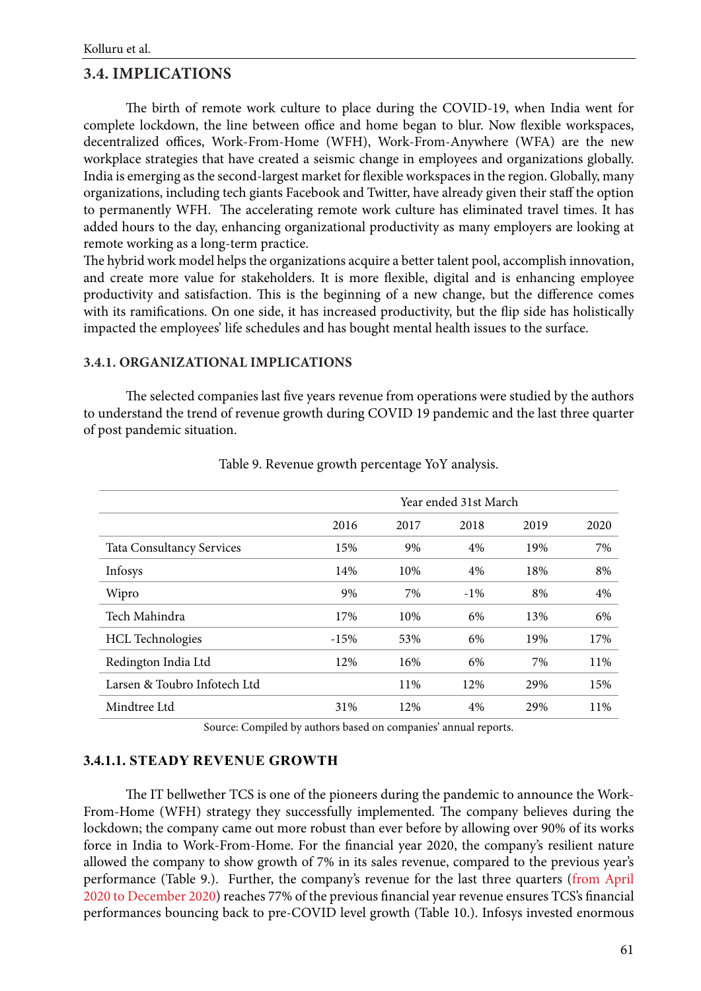## **3.4. IMPLICATIONS**

The birth of remote work culture to place during the COVID-19, when India went for complete lockdown, the line between office and home began to blur. Now flexible workspaces, decentralized offices, Work-From-Home (WFH), Work-From-Anywhere (WFA) are the new workplace strategies that have created a seismic change in employees and organizations globally. India is emerging as the second-largest market for flexible workspaces in the region. Globally, many organizations, including tech giants Facebook and Twitter, have already given their staff the option to permanently WFH. The accelerating remote work culture has eliminated travel times. It has added hours to the day, enhancing organizational productivity as many employers are looking at remote working as a long-term practice.

The hybrid work model helps the organizations acquire a better talent pool, accomplish innovation, and create more value for stakeholders. It is more flexible, digital and is enhancing employee productivity and satisfaction. This is the beginning of a new change, but the difference comes with its ramifications. On one side, it has increased productivity, but the flip side has holistically impacted the employees' life schedules and has bought mental health issues to the surface.

### **3.4.1. ORGANIZATIONAL IMPLICATIONS**

The selected companies last five years revenue from operations were studied by the authors to understand the trend of revenue growth during COVID 19 pandemic and the last three quarter of post pandemic situation.

|                                  | Year ended 31st March |      |        |      |      |
|----------------------------------|-----------------------|------|--------|------|------|
|                                  | 2016                  | 2017 | 2018   | 2019 | 2020 |
| <b>Tata Consultancy Services</b> | 15%                   | 9%   | 4%     | 19%  | 7%   |
| Infosys                          | 14%                   | 10%  | 4%     | 18%  | 8%   |
| Wipro                            | 9%                    | 7%   | $-1\%$ | 8%   | 4%   |
| Tech Mahindra                    | 17%                   | 10%  | 6%     | 13%  | 6%   |
| <b>HCL</b> Technologies          | $-15%$                | 53%  | 6%     | 19%  | 17%  |
| Redington India Ltd              | 12%                   | 16%  | 6%     | 7%   | 11%  |
| Larsen & Toubro Infotech Ltd     |                       | 11%  | 12%    | 29%  | 15%  |
| Mindtree Ltd                     | 31%                   | 12%  | 4%     | 29%  | 11%  |
|                                  |                       |      |        |      |      |

Table 9. Revenue growth percentage YoY analysis.

Source: Compiled by authors based on companies' annual reports.

## **3.4.1.1. STEADY REVENUE GROWTH**

The IT bellwether TCS is one of the pioneers during the pandemic to announce the Work-From-Home (WFH) strategy they successfully implemented. The company believes during the lockdown; the company came out more robust than ever before by allowing over 90% of its works force in India to Work-From-Home. For the financial year 2020, the company's resilient nature allowed the company to show growth of 7% in its sales revenue, compared to the previous year's performance (Table 9.). Further, the company's revenue for the last three quarters (from April 2020 to December 2020) reaches 77% of the previous financial year revenue ensures TCS's financial performances bouncing back to pre-COVID level growth (Table 10.). Infosys invested enormous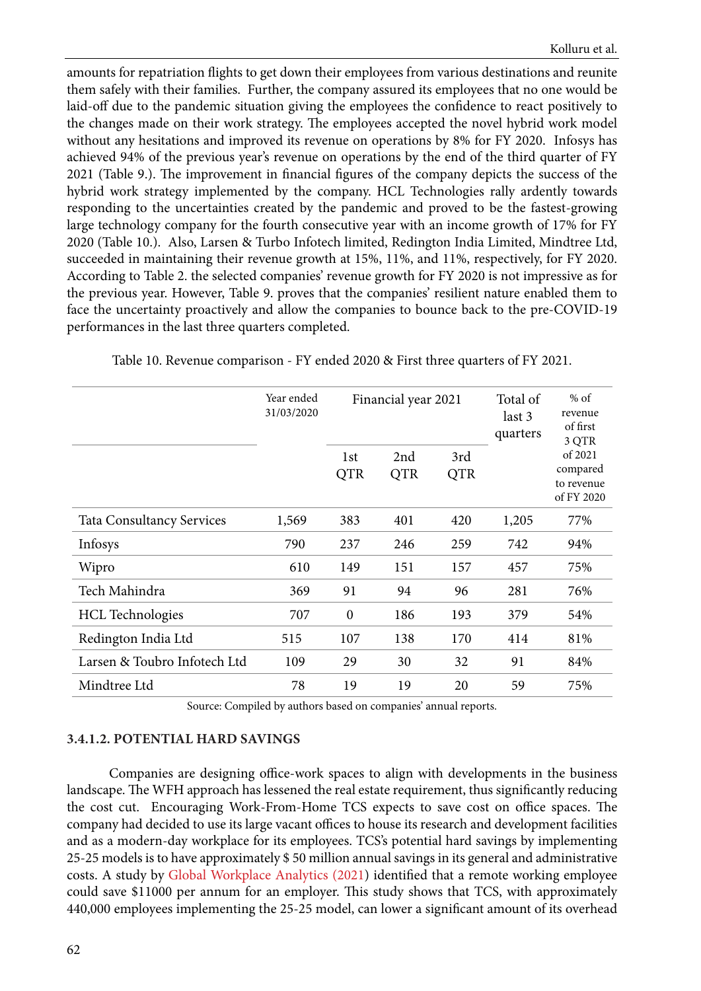amounts for repatriation flights to get down their employees from various destinations and reunite them safely with their families. Further, the company assured its employees that no one would be laid-off due to the pandemic situation giving the employees the confidence to react positively to the changes made on their work strategy. The employees accepted the novel hybrid work model without any hesitations and improved its revenue on operations by 8% for FY 2020. Infosys has achieved 94% of the previous year's revenue on operations by the end of the third quarter of FY 2021 (Table 9.). The improvement in financial figures of the company depicts the success of the hybrid work strategy implemented by the company. HCL Technologies rally ardently towards responding to the uncertainties created by the pandemic and proved to be the fastest-growing large technology company for the fourth consecutive year with an income growth of 17% for FY 2020 (Table 10.). Also, Larsen & Turbo Infotech limited, Redington India Limited, Mindtree Ltd, succeeded in maintaining their revenue growth at 15%, 11%, and 11%, respectively, for FY 2020. According to Table 2. the selected companies' revenue growth for FY 2020 is not impressive as for the previous year. However, Table 9. proves that the companies' resilient nature enabled them to face the uncertainty proactively and allow the companies to bounce back to the pre-COVID-19 performances in the last three quarters completed.

|                                  | Year ended<br>31/03/2020 | Financial year 2021 |                   |                   | Total of<br>last 3<br>quarters | $%$ of<br>revenue<br>of first<br>3 QTR          |
|----------------------------------|--------------------------|---------------------|-------------------|-------------------|--------------------------------|-------------------------------------------------|
|                                  |                          | 1st<br><b>QTR</b>   | 2nd<br><b>QTR</b> | 3rd<br><b>QTR</b> |                                | of 2021<br>compared<br>to revenue<br>of FY 2020 |
| <b>Tata Consultancy Services</b> | 1,569                    | 383                 | 401               | 420               | 1,205                          | 77%                                             |
| Infosys                          | 790                      | 237                 | 246               | 259               | 742                            | 94%                                             |
| Wipro                            | 610                      | 149                 | 151               | 157               | 457                            | 75%                                             |
| Tech Mahindra                    | 369                      | 91                  | 94                | 96                | 281                            | 76%                                             |
| <b>HCL</b> Technologies          | 707                      | $\boldsymbol{0}$    | 186               | 193               | 379                            | 54%                                             |
| Redington India Ltd              | 515                      | 107                 | 138               | 170               | 414                            | 81%                                             |
| Larsen & Toubro Infotech Ltd     | 109                      | 29                  | 30                | 32                | 91                             | 84%                                             |
| Mindtree Ltd                     | 78                       | 19                  | 19                | 20                | 59                             | 75%                                             |

Table 10. Revenue comparison - FY ended 2020 & First three quarters of FY 2021.

Source: Compiled by authors based on companies' annual reports.

#### **3.4.1.2. POTENTIAL HARD SAVINGS**

Companies are designing office-work spaces to align with developments in the business landscape. The WFH approach has lessened the real estate requirement, thus significantly reducing the cost cut. Encouraging Work-From-Home TCS expects to save cost on office spaces. The company had decided to use its large vacant offices to house its research and development facilities and as a modern-day workplace for its employees. TCS's potential hard savings by implementing 25-25 models is to have approximately \$ 50 million annual savings in its general and administrative costs. A study by [Global Workplace Analytics \(2021\)](#page-21-0) identified that a remote working employee could save \$11000 per annum for an employer. This study shows that TCS, with approximately 440,000 employees implementing the 25-25 model, can lower a significant amount of its overhead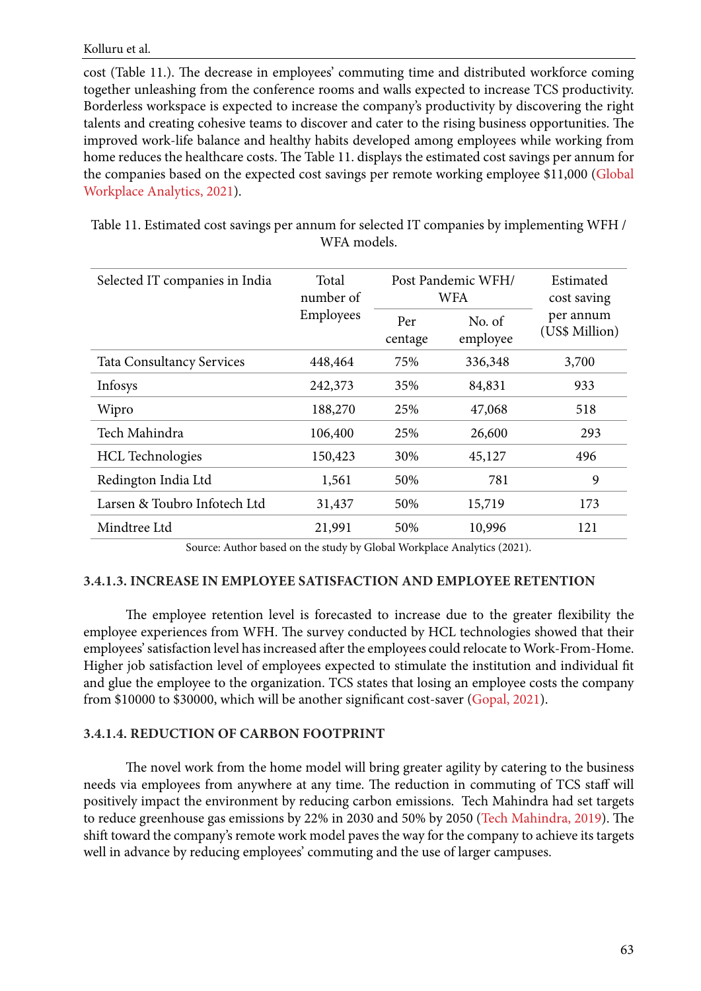Kolluru et al.

cost (Table 11.). The decrease in employees' commuting time and distributed workforce coming together unleashing from the conference rooms and walls expected to increase TCS productivity. Borderless workspace is expected to increase the company's productivity by discovering the right talents and creating cohesive teams to discover and cater to the rising business opportunities. The improved work-life balance and healthy habits developed among employees while working from home reduces the healthcare costs. The Table 11. displays the estimated cost savings per annum for the companies based on the expected cost savings per remote working employee \$11,000 [\(Global](#page-21-0)  [Workplace Analytics, 2021](#page-21-0)).

Table 11. Estimated cost savings per annum for selected IT companies by implementing WFH / WFA models.

| Selected IT companies in India   | Total<br>number of |                | Post Pandemic WFH/<br>WFA | Estimated<br>cost saving    |
|----------------------------------|--------------------|----------------|---------------------------|-----------------------------|
|                                  | Employees          | Per<br>centage | No. of<br>employee        | per annum<br>(US\$ Million) |
| <b>Tata Consultancy Services</b> | 448,464            | 75%            | 336,348                   | 3,700                       |
| Infosys                          | 242,373            | 35%            | 84,831                    | 933                         |
| Wipro                            | 188,270            | 25%            | 47,068                    | 518                         |
| Tech Mahindra                    | 106,400            | 25%            | 26,600                    | 293                         |
| <b>HCL</b> Technologies          | 150,423            | 30%            | 45,127                    | 496                         |
| Redington India Ltd              | 1,561              | 50%            | 781                       | 9                           |
| Larsen & Toubro Infotech Ltd     | 31,437             | 50%            | 15,719                    | 173                         |
| Mindtree Ltd                     | 21,991             | 50%            | 10,996                    | 121                         |

Source: Author based on the study by Global Workplace Analytics (2021).

### **3.4.1.3. INCREASE IN EMPLOYEE SATISFACTION AND EMPLOYEE RETENTION**

The employee retention level is forecasted to increase due to the greater flexibility the employee experiences from WFH. The survey conducted by HCL technologies showed that their employees' satisfaction level has increased after the employees could relocate to Work-From-Home. Higher job satisfaction level of employees expected to stimulate the institution and individual fit and glue the employee to the organization. TCS states that losing an employee costs the company from \$10000 to \$30000, which will be another significant cost-saver ([Gopal, 2021\)](#page-21-0).

### **3.4.1.4. REDUCTION OF CARBON FOOTPRINT**

The novel work from the home model will bring greater agility by catering to the business needs via employees from anywhere at any time. The reduction in commuting of TCS staff will positively impact the environment by reducing carbon emissions. Tech Mahindra had set targets to reduce greenhouse gas emissions by 22% in 2030 and 50% by 2050 ([Tech Mahindra, 2019\)](#page-23-0). The shift toward the company's remote work model paves the way for the company to achieve its targets well in advance by reducing employees' commuting and the use of larger campuses.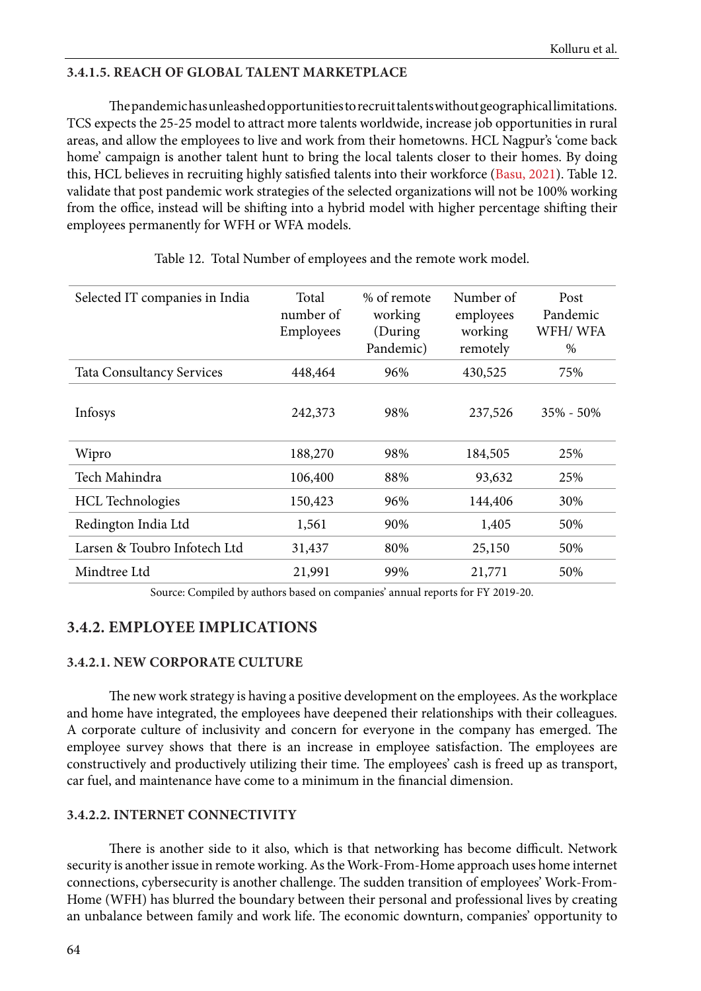## **3.4.1.5. REACH OF GLOBAL TALENT MARKETPLACE**

The pandemic has unleashed opportunities to recruit talents without geographical limitations. TCS expects the 25-25 model to attract more talents worldwide, increase job opportunities in rural areas, and allow the employees to live and work from their hometowns. HCL Nagpur's 'come back home' campaign is another talent hunt to bring the local talents closer to their homes. By doing this, HCL believes in recruiting highly satisfied talents into their workforce ([Basu, 2021](#page-20-0)). Table 12. validate that post pandemic work strategies of the selected organizations will not be 100% working from the office, instead will be shifting into a hybrid model with higher percentage shifting their employees permanently for WFH or WFA models.

| Selected IT companies in India   | Total<br>number of<br>Employees | % of remote<br>working<br>(During)<br>Pandemic) | Number of<br>employees<br>working<br>remotely | Post<br>Pandemic<br>WFH/WFA<br>% |
|----------------------------------|---------------------------------|-------------------------------------------------|-----------------------------------------------|----------------------------------|
| <b>Tata Consultancy Services</b> | 448,464                         | 96%                                             | 430,525                                       | 75%                              |
| Infosys                          | 242,373                         | 98%                                             | 237,526                                       | $35\% - 50\%$                    |
| Wipro                            | 188,270                         | 98%                                             | 184,505                                       | 25%                              |
| Tech Mahindra                    | 106,400                         | 88%                                             | 93,632                                        | 25%                              |
| <b>HCL</b> Technologies          | 150,423                         | 96%                                             | 144,406                                       | 30%                              |
| Redington India Ltd              | 1,561                           | 90%                                             | 1,405                                         | 50%                              |
| Larsen & Toubro Infotech Ltd     | 31,437                          | 80%                                             | 25,150                                        | 50%                              |
| Mindtree Ltd                     | 21,991                          | 99%                                             | 21,771                                        | 50%                              |

Table 12. Total Number of employees and the remote work model.

Source: Compiled by authors based on companies' annual reports for FY 2019-20.

# **3.4.2. EMPLOYEE IMPLICATIONS**

### **3.4.2.1. NEW CORPORATE CULTURE**

The new work strategy is having a positive development on the employees. As the workplace and home have integrated, the employees have deepened their relationships with their colleagues. A corporate culture of inclusivity and concern for everyone in the company has emerged. The employee survey shows that there is an increase in employee satisfaction. The employees are constructively and productively utilizing their time. The employees' cash is freed up as transport, car fuel, and maintenance have come to a minimum in the financial dimension.

### **3.4.2.2. INTERNET CONNECTIVITY**

There is another side to it also, which is that networking has become difficult. Network security is another issue in remote working. As the Work-From-Home approach uses home internet connections, cybersecurity is another challenge. The sudden transition of employees' Work-From-Home (WFH) has blurred the boundary between their personal and professional lives by creating an unbalance between family and work life. The economic downturn, companies' opportunity to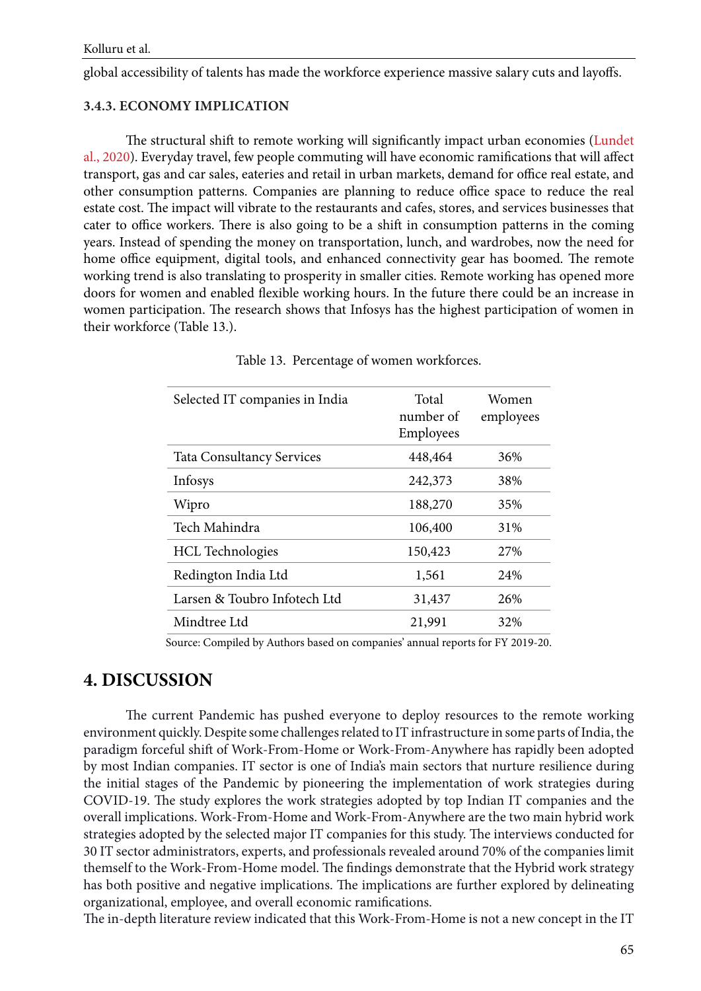global accessibility of talents has made the workforce experience massive salary cuts and layoffs.

## **3.4.3. ECONOMY IMPLICATION**

The structural shift to remote working will significantly impact urban economies [\(Lundet](#page-22-0)  [al., 2020](#page-22-0)). Everyday travel, few people commuting will have economic ramifications that will affect transport, gas and car sales, eateries and retail in urban markets, demand for office real estate, and other consumption patterns. Companies are planning to reduce office space to reduce the real estate cost. The impact will vibrate to the restaurants and cafes, stores, and services businesses that cater to office workers. There is also going to be a shift in consumption patterns in the coming years. Instead of spending the money on transportation, lunch, and wardrobes, now the need for home office equipment, digital tools, and enhanced connectivity gear has boomed. The remote working trend is also translating to prosperity in smaller cities. Remote working has opened more doors for women and enabled flexible working hours. In the future there could be an increase in women participation. The research shows that Infosys has the highest participation of women in their workforce (Table 13.).

| Selected IT companies in India   | Total<br>number of<br>Employees | Women<br>employees |
|----------------------------------|---------------------------------|--------------------|
| <b>Tata Consultancy Services</b> | 448,464                         | 36%                |
| Infosys                          | 242,373                         | 38%                |
| Wipro                            | 188,270                         | 35%                |
| Tech Mahindra                    | 106,400                         | 31%                |
| <b>HCL</b> Technologies          | 150,423                         | 27%                |
| Redington India Ltd              | 1,561                           | 24%                |
| Larsen & Toubro Infotech Ltd     | 31,437                          | 26%                |
| Mindtree Ltd                     | 21,991                          | 32%                |

Table 13. Percentage of women workforces.

Source: Compiled by Authors based on companies' annual reports for FY 2019-20.

# **4. DISCUSSION**

The current Pandemic has pushed everyone to deploy resources to the remote working environment quickly. Despite some challenges related to IT infrastructure in some parts of India, the paradigm forceful shift of Work-From-Home or Work-From-Anywhere has rapidly been adopted by most Indian companies. IT sector is one of India's main sectors that nurture resilience during the initial stages of the Pandemic by pioneering the implementation of work strategies during COVID-19. The study explores the work strategies adopted by top Indian IT companies and the overall implications. Work-From-Home and Work-From-Anywhere are the two main hybrid work strategies adopted by the selected major IT companies for this study. The interviews conducted for 30 IT sector administrators, experts, and professionals revealed around 70% of the companies limit themself to the Work-From-Home model. The findings demonstrate that the Hybrid work strategy has both positive and negative implications. The implications are further explored by delineating organizational, employee, and overall economic ramifications.

The in-depth literature review indicated that this Work-From-Home is not a new concept in the IT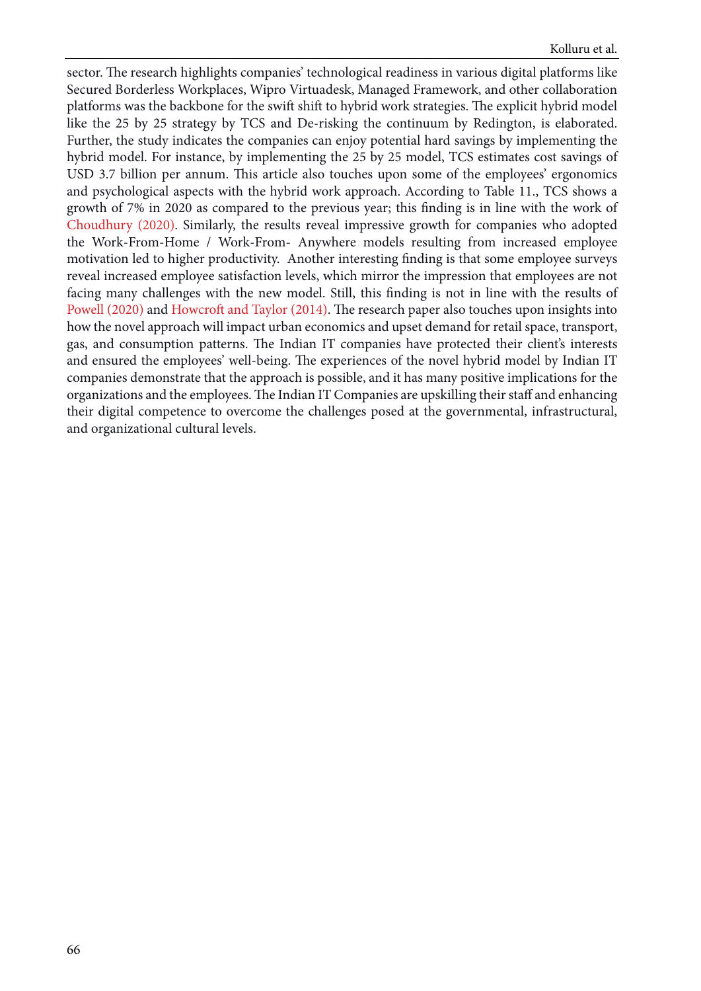sector. The research highlights companies' technological readiness in various digital platforms like Secured Borderless Workplaces, Wipro Virtuadesk, Managed Framework, and other collaboration platforms was the backbone for the swift shift to hybrid work strategies. The explicit hybrid model like the 25 by 25 strategy by TCS and De-risking the continuum by Redington, is elaborated. Further, the study indicates the companies can enjoy potential hard savings by implementing the hybrid model. For instance, by implementing the 25 by 25 model, TCS estimates cost savings of USD 3.7 billion per annum. This article also touches upon some of the employees' ergonomics and psychological aspects with the hybrid work approach. According to Table 11., TCS shows a growth of 7% in 2020 as compared to the previous year; this finding is in line with the work of [Choudhury \(2020\)](#page-20-0). Similarly, the results reveal impressive growth for companies who adopted the Work-From-Home / Work-From- Anywhere models resulting from increased employee motivation led to higher productivity. Another interesting finding is that some employee surveys reveal increased employee satisfaction levels, which mirror the impression that employees are not facing many challenges with the new model. Still, this finding is not in line with the results of [Powell \(2020\)](#page-22-0) and [Howcroft and Taylor \(2014\)](#page-21-0). The research paper also touches upon insights into how the novel approach will impact urban economics and upset demand for retail space, transport, gas, and consumption patterns. The Indian IT companies have protected their client's interests and ensured the employees' well-being. The experiences of the novel hybrid model by Indian IT companies demonstrate that the approach is possible, and it has many positive implications for the organizations and the employees. The Indian IT Companies are upskilling their staff and enhancing their digital competence to overcome the challenges posed at the governmental, infrastructural, and organizational cultural levels.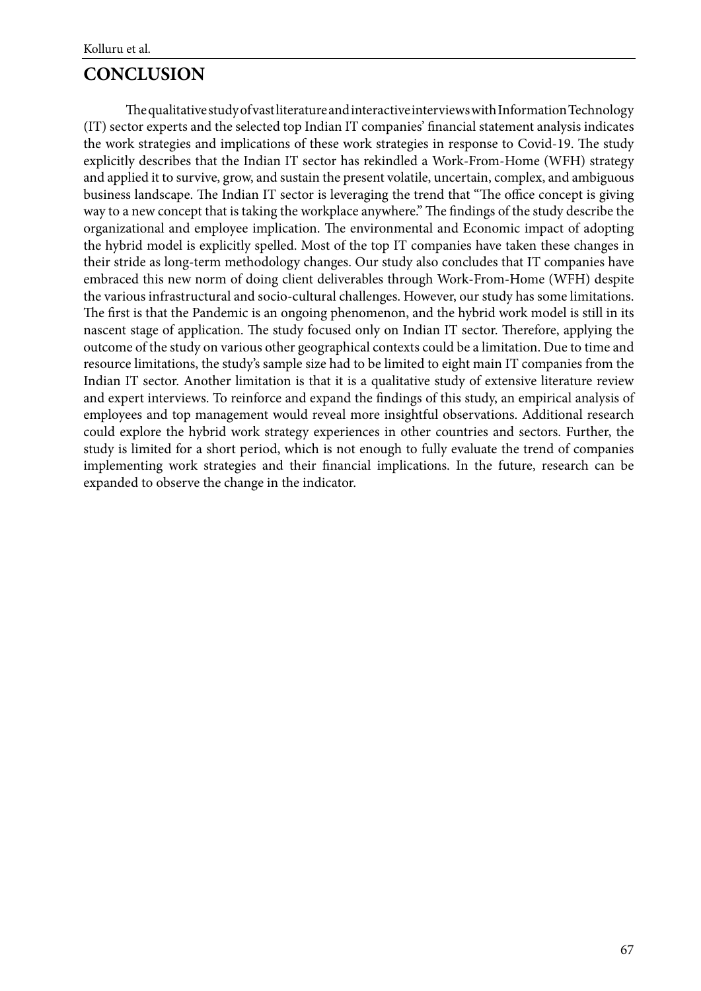# **CONCLUSION**

The qualitative study of vast literature and interactive interviews with Information Technology (IT) sector experts and the selected top Indian IT companies' financial statement analysis indicates the work strategies and implications of these work strategies in response to Covid-19. The study explicitly describes that the Indian IT sector has rekindled a Work-From-Home (WFH) strategy and applied it to survive, grow, and sustain the present volatile, uncertain, complex, and ambiguous business landscape. The Indian IT sector is leveraging the trend that "The office concept is giving way to a new concept that is taking the workplace anywhere." The findings of the study describe the organizational and employee implication. The environmental and Economic impact of adopting the hybrid model is explicitly spelled. Most of the top IT companies have taken these changes in their stride as long-term methodology changes. Our study also concludes that IT companies have embraced this new norm of doing client deliverables through Work-From-Home (WFH) despite the various infrastructural and socio-cultural challenges. However, our study has some limitations. The first is that the Pandemic is an ongoing phenomenon, and the hybrid work model is still in its nascent stage of application. The study focused only on Indian IT sector. Therefore, applying the outcome of the study on various other geographical contexts could be a limitation. Due to time and resource limitations, the study's sample size had to be limited to eight main IT companies from the Indian IT sector. Another limitation is that it is a qualitative study of extensive literature review and expert interviews. To reinforce and expand the findings of this study, an empirical analysis of employees and top management would reveal more insightful observations. Additional research could explore the hybrid work strategy experiences in other countries and sectors. Further, the study is limited for a short period, which is not enough to fully evaluate the trend of companies implementing work strategies and their financial implications. In the future, research can be expanded to observe the change in the indicator.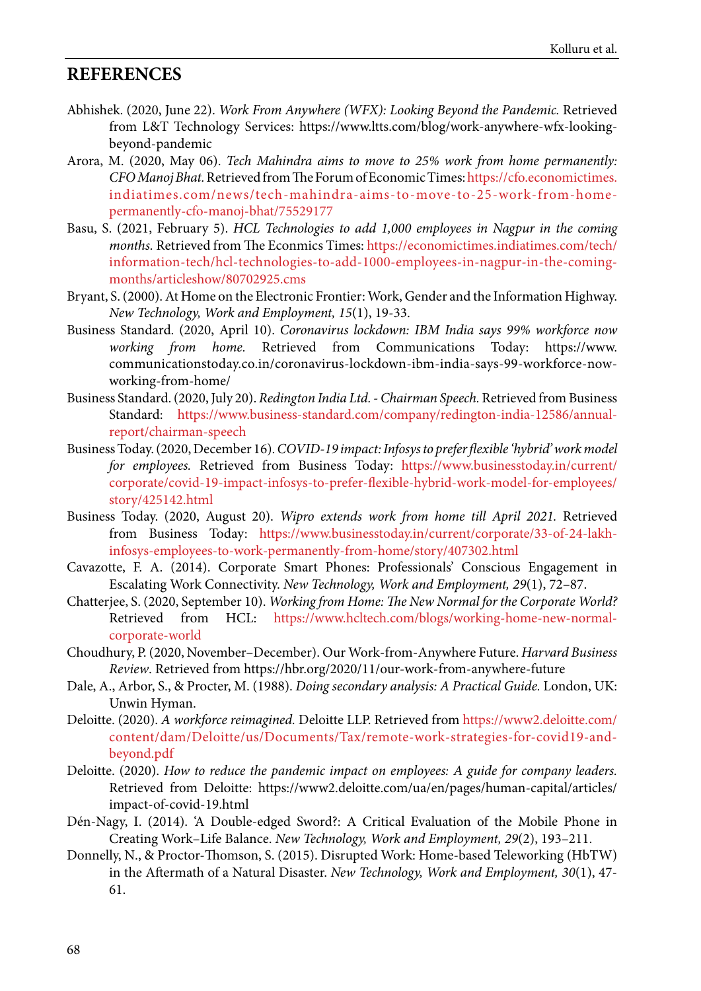# <span id="page-19-0"></span>**REFERENCES**

- Abhishek. (2020, June 22). *Work From Anywhere (WFX): Looking Beyond the Pandemic.* Retrieved from L&T Technology Services: https://www.ltts.com/blog/work-anywhere-wfx-lookingbeyond-pandemic
- Arora, M. (2020, May 06). *Tech Mahindra aims to move to 25% work from home permanently: CFO Manoj Bhat.* Retrieved from The Forum of Economic Times: [https://cfo.economictimes.](https://cfo.economictimes.  indiatimes.com/news/tech-mahindra-aims-to-move-to-25-work-from-home-  permanently-cfo-manoj-bhat/75529177 ) [indiatimes.com/news/tech-mahindra-aims-to-move-to-25-work-from-home](https://cfo.economictimes.  indiatimes.com/news/tech-mahindra-aims-to-move-to-25-work-from-home-  permanently-cfo-manoj-bhat/75529177 )[permanently-cfo-manoj-bhat/75529177](https://cfo.economictimes.  indiatimes.com/news/tech-mahindra-aims-to-move-to-25-work-from-home-  permanently-cfo-manoj-bhat/75529177 )
- Basu, S. (2021, February 5). *HCL Technologies to add 1,000 employees in Nagpur in the coming months.* Retrieved from The Econmics Times: [https://economictimes.indiatimes.com/tech/](ttps://economictimes.indiatimes.com/tech/  information-tech/hcl-technologies-to-add-1000-employees-in-nagpur-in-the-coming-  months/articleshow/80702925.cms ) [information-tech/hcl-technologies-to-add-1000-employees-in-nagpur-in-the-coming](ttps://economictimes.indiatimes.com/tech/  information-tech/hcl-technologies-to-add-1000-employees-in-nagpur-in-the-coming-  months/articleshow/80702925.cms )[months/articleshow/80702925.cms](ttps://economictimes.indiatimes.com/tech/  information-tech/hcl-technologies-to-add-1000-employees-in-nagpur-in-the-coming-  months/articleshow/80702925.cms )
- Bryant, S. (2000). At Home on the Electronic Frontier: Work, Gender and the Information Highway. *New Technology, Work and Employment, 15*(1), 19-33.
- Business Standard. (2020, April 10). *Coronavirus lockdown: IBM India says 99% workforce now working from home.* Retrieved from Communications Today: https://www. communicationstoday.co.in/coronavirus-lockdown-ibm-india-says-99-workforce-nowworking-from-home/
- Business Standard. (2020, July 20). *Redington India Ltd. Chairman Speech.* Retrieved from Business Standard: [https://www.business-standard.com/company/redington-india-12586/annual](https://www.business-standard.com/company/redington-india-12586/annual-  report/chairman-speech )[report/chairman-speech](https://www.business-standard.com/company/redington-india-12586/annual-  report/chairman-speech )
- Business Today. (2020, December 16). *COVID-19 impact: Infosys to prefer flexible 'hybrid' work model for employees.* Retrieved from Business Today: [https://www.businesstoday.in/current/](https://www.businesstoday.in/current/  corporate/covid-19-impact-infosys-to-prefer-flexible-hybrid-work-model-for-employees/  story/425142.html ) [corporate/covid-19-impact-infosys-to-prefer-flexible-hybrid-work-model-for-employees/](https://www.businesstoday.in/current/  corporate/covid-19-impact-infosys-to-prefer-flexible-hybrid-work-model-for-employees/  story/425142.html ) [story/425142.html](https://www.businesstoday.in/current/  corporate/covid-19-impact-infosys-to-prefer-flexible-hybrid-work-model-for-employees/  story/425142.html )
- Business Today. (2020, August 20). *Wipro extends work from home till April 2021.* Retrieved from Business Today: [https://www.businesstoday.in/current/corporate/33-of-24-lakh](https://www.businesstoday.in/current/corporate/33-of-24-lakh-  infosys-employees-to-work-permanently-from-home/story/407302.html )[infosys-employees-to-work-permanently-from-home/story/407302.html](https://www.businesstoday.in/current/corporate/33-of-24-lakh-  infosys-employees-to-work-permanently-from-home/story/407302.html )
- Cavazotte, F. A. (2014). Corporate Smart Phones: Professionals' Conscious Engagement in Escalating Work Connectivity. *New Technology, Work and Employment, 29*(1), 72–87.
- Chatterjee, S. (2020, September 10). *Working from Home: The New Normal for the Corporate World?* Retrieved from HCL: [https://www.hcltech.com/blogs/working-home-new-normal](https://www.hcltech.com/blogs/working-home-new-normal-  corporate-world )[corporate-world](https://www.hcltech.com/blogs/working-home-new-normal-  corporate-world )
- Choudhury, P. (2020, November–December). Our Work-from-Anywhere Future. *Harvard Business Review*. Retrieved from https://hbr.org/2020/11/our-work-from-anywhere-future
- Dale, A., Arbor, S., & Procter, M. (1988). *Doing secondary analysis: A Practical Guide.* London, UK: Unwin Hyman.
- Deloitte. (2020). *A workforce reimagined.* Deloitte LLP. Retrieved from [https://www2.deloitte.com/](https://www2.deloitte.com/  content/dam/Deloitte/us/Documents/Tax/remote-work-strategies-for-covid19-and-  beyond.pdf ) [content/dam/Deloitte/us/Documents/Tax/remote-work-strategies-for-covid19-and](https://www2.deloitte.com/  content/dam/Deloitte/us/Documents/Tax/remote-work-strategies-for-covid19-and-  beyond.pdf )[beyond.pdf](https://www2.deloitte.com/  content/dam/Deloitte/us/Documents/Tax/remote-work-strategies-for-covid19-and-  beyond.pdf )
- Deloitte. (2020). *How to reduce the pandemic impact on employees: A guide for company leaders.* Retrieved from Deloitte: https://www2.deloitte.com/ua/en/pages/human-capital/articles/ impact-of-covid-19.html
- Dén-Nagy, I. (2014). 'A Double-edged Sword?: A Critical Evaluation of the Mobile Phone in Creating Work–Life Balance. *New Technology, Work and Employment, 29*(2), 193–211.
- Donnelly, N., & Proctor-Thomson, S. (2015). Disrupted Work: Home-based Teleworking (HbTW) in the Aftermath of a Natural Disaster. *New Technology, Work and Employment, 30*(1), 47- 61.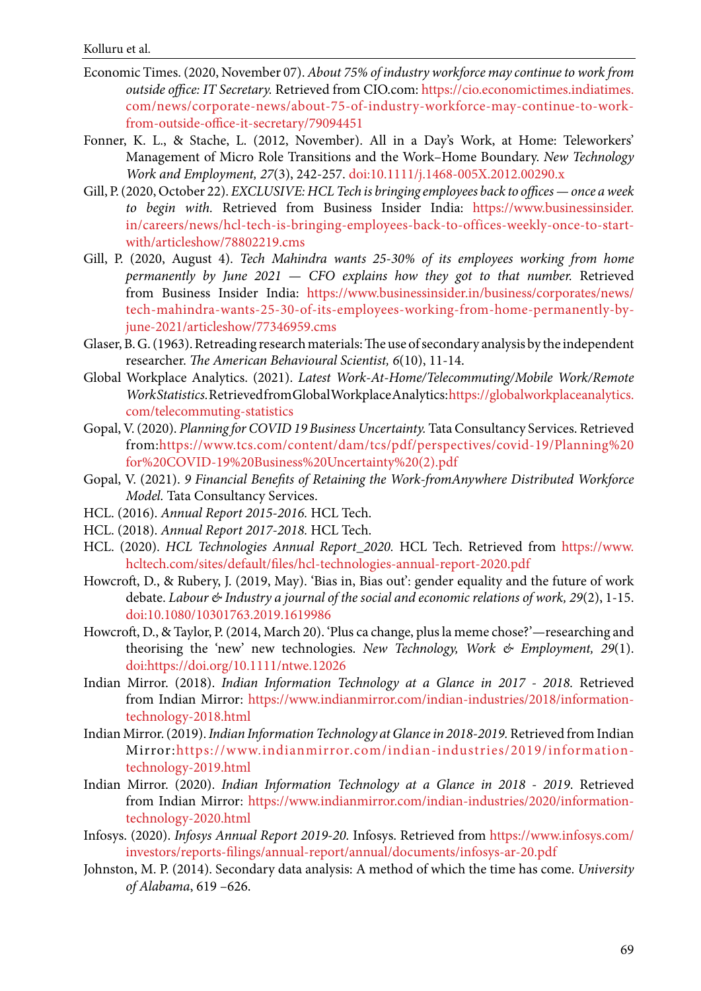- <span id="page-20-0"></span>Economic Times. (2020, November 07). *About 75% of industry workforce may continue to work from outside office: IT Secretary.* Retrieved from CIO.com: [https://cio.economictimes.indiatimes.](https://cio.economictimes.indiatimes.  com/news/corporate-news/about-75-of-industry-workforce-may-continue-to-work-  from-outside-office-it-secretary/79094451 ) [com/news/corporate-news/about-75-of-industry-workforce-may-continue-to-work](https://cio.economictimes.indiatimes.  com/news/corporate-news/about-75-of-industry-workforce-may-continue-to-work-  from-outside-office-it-secretary/79094451 )[from-outside-office-it-secretary/79094451](https://cio.economictimes.indiatimes.  com/news/corporate-news/about-75-of-industry-workforce-may-continue-to-work-  from-outside-office-it-secretary/79094451 )
- Fonner, K. L., & Stache, L. (2012, November). All in a Day's Work, at Home: Teleworkers' Management of Micro Role Transitions and the Work–Home Boundary. *New Technology Work and Employment, 27*(3), 242-257. doi:10.1111/j.1468-005X.2012.00290.x
- Gill, P. (2020, October 22). *EXCLUSIVE: HCL Tech is bringing employees back to offices once a week to begin with.* Retrieved from Business Insider India: [https://www.businessinsider.](https://www.businessinsider.  in/careers/news/hcl-tech-is-bringing-employees-back-to-offices-weekly-once-to-start-  with/articleshow/78802219.cms ) [in/careers/news/hcl-tech-is-bringing-employees-back-to-offices-weekly-once-to-start](https://www.businessinsider.  in/careers/news/hcl-tech-is-bringing-employees-back-to-offices-weekly-once-to-start-  with/articleshow/78802219.cms )[with/articleshow/78802219.cms](https://www.businessinsider.  in/careers/news/hcl-tech-is-bringing-employees-back-to-offices-weekly-once-to-start-  with/articleshow/78802219.cms )
- Gill, P. (2020, August 4). *Tech Mahindra wants 25-30% of its employees working from home permanently by June 2021 — CFO explains how they got to that number.* Retrieved from Business Insider India: [https://www.businessinsider.in/business/corporates/news/](https://www.businessinsider.in/business/corporates/news/  tech-mahindra-wants-25-30-of-its-employees-working-from-home-permanently-by-  june-2021/articleshow/77346959.cms ) [tech-mahindra-wants-25-30-of-its-employees-working-from-home-permanently-by](https://www.businessinsider.in/business/corporates/news/  tech-mahindra-wants-25-30-of-its-employees-working-from-home-permanently-by-  june-2021/articleshow/77346959.cms )[june-2021/articleshow/77346959.cms](https://www.businessinsider.in/business/corporates/news/  tech-mahindra-wants-25-30-of-its-employees-working-from-home-permanently-by-  june-2021/articleshow/77346959.cms )
- Glaser, B. G. (1963). Retreading research materials: The use of secondary analysis by the independent researcher. *The American Behavioural Scientist, 6*(10), 11-14.
- Global Workplace Analytics. (2021). *Latest Work-At-Home/Telecommuting/Mobile Work/Remote Work Statistics.* Retrieved from Global Workplace Analytics: [https://globalworkplaceanalytics.](https://globalworkplaceanalytics.  com/telecommuting-statistics ) [com/telecommuting-statistics](https://globalworkplaceanalytics.  com/telecommuting-statistics )
- Gopal, V. (2020). *Planning for COVID 19 Business Uncertainty.* Tata Consultancy Services. Retrieved from:[https://www.tcs.com/content/dam/tcs/pdf/perspectives/covid-19/Planning%20](https://www.tcs.com/content/dam/tcs/pdf/perspectives/covid-19/Planning%20  for%20COVID-19%20Business%20Uncertainty%20(2).pdf ) [for%20COVID-19%20Business%20Uncertainty%20\(2\).pdf](https://www.tcs.com/content/dam/tcs/pdf/perspectives/covid-19/Planning%20  for%20COVID-19%20Business%20Uncertainty%20(2).pdf )
- Gopal, V. (2021). *9 Financial Benefits of Retaining the Work-fromAnywhere Distributed Workforce Model.* Tata Consultancy Services.
- HCL. (2016). *Annual Report 2015-2016.* HCL Tech.
- HCL. (2018). *Annual Report 2017-2018.* HCL Tech.
- HCL. (2020). *HCL Technologies Annual Report\_2020.* HCL Tech. Retrieved from [https://www.](https://www.  hcltech.com/sites/default/files/hcl-technologies-annual-report-2020.pdf ) [hcltech.com/sites/default/files/hcl-technologies-annual-report-2020.pdf](https://www.  hcltech.com/sites/default/files/hcl-technologies-annual-report-2020.pdf )
- Howcroft, D., & Rubery, J. (2019, May). 'Bias in, Bias out': gender equality and the future of work debate. *Labour & Industry a journal of the social and economic relations of work, 29*(2), 1-15. doi:10.1080/10301763.2019.1619986
- Howcroft, D., & Taylor, P. (2014, March 20). 'Plus ca change, plus la meme chose?'—researching and theorising the 'new' new technologies. *New Technology, Work & Employment, 29*(1). doi[:https://doi.org/10.1111/ntwe.12026](https://doi.org/10.1111/ntwe.12026 )
- Indian Mirror. (2018). *Indian Information Technology at a Glance in 2017 2018.* Retrieved from Indian Mirror: [https://www.indianmirror.com/indian-industries/2018/information](https://www.indianmirror.com/indian-industries/2018/information-  technology-2018.html )[technology-2018.html](https://www.indianmirror.com/indian-industries/2018/information-  technology-2018.html )
- Indian Mirror. (2019). *Indian Information Technology at Glance in 2018-2019.* Retrieved from Indian Mirror:[https://www.indianmirror.com/indian-industries/2019/information](https://www.indianmirror.com/indian-industries/2019/information-  technology-2019.html )[technology-2019.html](https://www.indianmirror.com/indian-industries/2019/information-  technology-2019.html )
- Indian Mirror. (2020). *Indian Information Technology at a Glance in 2018 2019*. Retrieved from Indian Mirror: [https://www.indianmirror.com/indian-industries/2020/information](https://www.indianmirror.com/indian-industries/2020/information-  technology-2020.html )[technology-2020.html](https://www.indianmirror.com/indian-industries/2020/information-  technology-2020.html )
- Infosys. (2020). *Infosys Annual Report 2019-20.* Infosys. Retrieved from [https://www.infosys.com/](https://www.infosys.com/  investors/reports-filings/annual-report/annual/documents/infosys-ar-20.pdf ) [investors/reports-filings/annual-report/annual/documents/infosys-ar-20.pdf](https://www.infosys.com/  investors/reports-filings/annual-report/annual/documents/infosys-ar-20.pdf )
- Johnston, M. P. (2014). Secondary data analysis: A method of which the time has come. *University of Alabama*, 619 –626.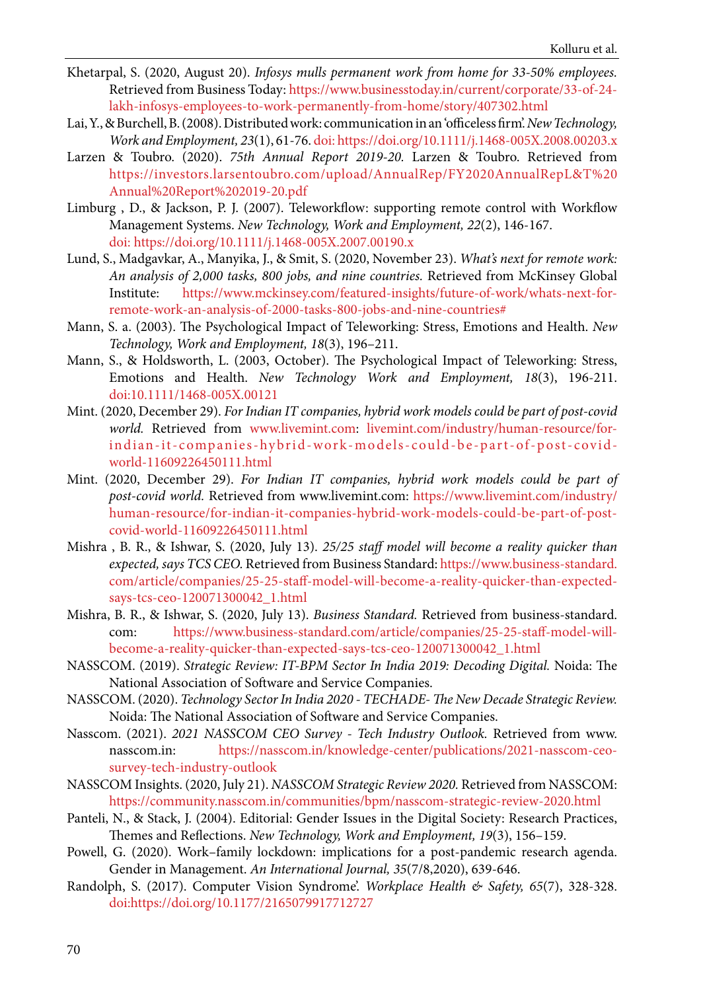- <span id="page-21-0"></span>Khetarpal, S. (2020, August 20). *Infosys mulls permanent work from home for 33-50% employees.* Retrieved from Business Today: [https://www.businesstoday.in/current/corporate/33-of-24](https://www.businesstoday.in/current/corporate/33-of-24-  lakh-infosys-employees-to-work-permanently-from-home/story/407302.html ) [lakh-infosys-employees-to-work-permanently-from-home/story/407302.html](https://www.businesstoday.in/current/corporate/33-of-24-  lakh-infosys-employees-to-work-permanently-from-home/story/407302.html )
- Lai, Y., & Burchell, B. (2008). Distributed work: communication in an 'officeless firm'. *New Technology, Work and Employment, 23*(1), 61-76. doi: https://doi.org/10.1111/j.1468-005X.2008.00203.x
- Larzen & Toubro. (2020). *75th Annual Report 2019-20.* Larzen & Toubro. Retrieved from [https://investors.larsentoubro.com/upload/AnnualRep/FY2020AnnualRepL&T%20](https://investors.larsentoubro.com/upload/AnnualRep/FY2020AnnualRepL&T%20  Annual%20Report%202019-20) [Annual%20Report%202019-20.pdf](https://investors.larsentoubro.com/upload/AnnualRep/FY2020AnnualRepL&T%20  Annual%20Report%202019-20)
- Limburg , D., & Jackson, P. J. (2007). Teleworkflow: supporting remote control with Workflow Management Systems. *New Technology, Work and Employment, 22*(2), 146-167. doi: [https://doi.org/10.1111/j.1468-005X.2007.00190.x](https://doi.org/10.1111/j.1468-005X.2007.00190.x )
- Lund, S., Madgavkar, A., Manyika, J., & Smit, S. (2020, November 23). *What's next for remote work: An analysis of 2,000 tasks, 800 jobs, and nine countries.* Retrieved from McKinsey Global Institute: [https://www.mckinsey.com/featured-insights/future-of-work/whats-next-for](https://www.mckinsey.com/featured-insights/future-of-work/whats-next-for-  remote-work-an-analysis-of-2000-tasks-800-jobs-and-nine-countries# )[remote-work-an-analysis-of-2000-tasks-800-jobs-and-nine-countries#](https://www.mckinsey.com/featured-insights/future-of-work/whats-next-for-  remote-work-an-analysis-of-2000-tasks-800-jobs-and-nine-countries# )
- Mann, S. a. (2003). The Psychological Impact of Teleworking: Stress, Emotions and Health. *New Technology, Work and Employment, 18*(3), 196–211.
- Mann, S., & Holdsworth, L. (2003, October). The Psychological Impact of Teleworking: Stress, Emotions and Health. *New Technology Work and Employment, 18*(3), 196-211. doi:10.1111/1468-005X.00121
- Mint. (2020, December 29). *For Indian IT companies, hybrid work models could be part of post-covid world.* Retrieved from www.livemint.com: [livemint.com/industry/human-resource/for](http://livemint.com/industry/human-resource/for-  indian-it-companies-hybrid-work-models-could-be-part-of-post-covid-  world-11609226450111.html )[indian-it-companies-hybrid-work-models-could-be-part-of-post-covid](http://livemint.com/industry/human-resource/for-  indian-it-companies-hybrid-work-models-could-be-part-of-post-covid-  world-11609226450111.html )[world-11609226450111.html](http://livemint.com/industry/human-resource/for-  indian-it-companies-hybrid-work-models-could-be-part-of-post-covid-  world-11609226450111.html )
- Mint. (2020, December 29). *For Indian IT companies, hybrid work models could be part of post-covid world.* Retrieved from www.livemint.com: [https://www.livemint.com/industry/](https://www.livemint.com/industry/  human-resource/for-indian-it-companies-hybrid-work-models-could-be-part-of-post-  covid-world-11609226450111.html ) [human-resource/for-indian-it-companies-hybrid-work-models-could-be-part-of-post](https://www.livemint.com/industry/  human-resource/for-indian-it-companies-hybrid-work-models-could-be-part-of-post-  covid-world-11609226450111.html )[covid-world-11609226450111.html](https://www.livemint.com/industry/  human-resource/for-indian-it-companies-hybrid-work-models-could-be-part-of-post-  covid-world-11609226450111.html )
- Mishra , B. R., & Ishwar, S. (2020, July 13). *25/25 staff model will become a reality quicker than expected, says TCS CEO.* Retrieved from Business Standard: [https://www.business-standard.](https://www.business-standard.  com/article/companies/25-25-staff-model-will-become-a-reality-quicker-than-expected-  says-tcs-ceo-120071300042_1.html ) [com/article/companies/25-25-staff-model-will-become-a-reality-quicker-than-expected](https://www.business-standard.  com/article/companies/25-25-staff-model-will-become-a-reality-quicker-than-expected-  says-tcs-ceo-120071300042_1.html )[says-tcs-ceo-120071300042\\_1.html](https://www.business-standard.  com/article/companies/25-25-staff-model-will-become-a-reality-quicker-than-expected-  says-tcs-ceo-120071300042_1.html )
- Mishra, B. R., & Ishwar, S. (2020, July 13). *Business Standard.* Retrieved from business-standard. com: [https://www.business-standard.com/article/companies/25-25-staff-model-will](https://www.business-standard.com/article/companies/25-25-staff-model-will-  become-a-reality-quicker-than-expected-says-tcs-ceo-120071300042_1.html )[become-a-reality-quicker-than-expected-says-tcs-ceo-120071300042\\_1.html](https://www.business-standard.com/article/companies/25-25-staff-model-will-  become-a-reality-quicker-than-expected-says-tcs-ceo-120071300042_1.html )
- NASSCOM. (2019). *Strategic Review: IT-BPM Sector In India 2019: Decoding Digital.* Noida: The National Association of Software and Service Companies.
- NASSCOM. (2020). *Technology Sector In India 2020 TECHADE- The New Decade Strategic Review.* Noida: The National Association of Software and Service Companies.
- Nasscom. (2021). *2021 NASSCOM CEO Survey Tech Industry Outlook.* Retrieved from www. nasscom.in: [https://nasscom.in/knowledge-center/publications/2021-nasscom-ceo](https://nasscom.in/knowledge-center/publications/2021-nasscom-ceo-  survey-tech-industry-outlook )[survey-tech-industry-outlook](https://nasscom.in/knowledge-center/publications/2021-nasscom-ceo-  survey-tech-industry-outlook )
- NASSCOM Insights. (2020, July 21). *NASSCOM Strategic Review 2020.* Retrieved from NASSCOM: <https://community.nasscom.in/communities/bpm/nasscom-strategic-review-2020.html>
- Panteli, N., & Stack, J. (2004). Editorial: Gender Issues in the Digital Society: Research Practices, Themes and Reflections. *New Technology, Work and Employment, 19*(3), 156–159.
- Powell, G. (2020). Work–family lockdown: implications for a post-pandemic research agenda. Gender in Management. *An International Journal, 35*(7/8,2020), 639-646.
- Randolph, S. (2017). Computer Vision Syndrome'. *Workplace Health & Safety, 65*(7), 328-328. doi:[https://doi.org/10.1177/2165079917712727](https://doi.org/10.1177/2165079917712727 )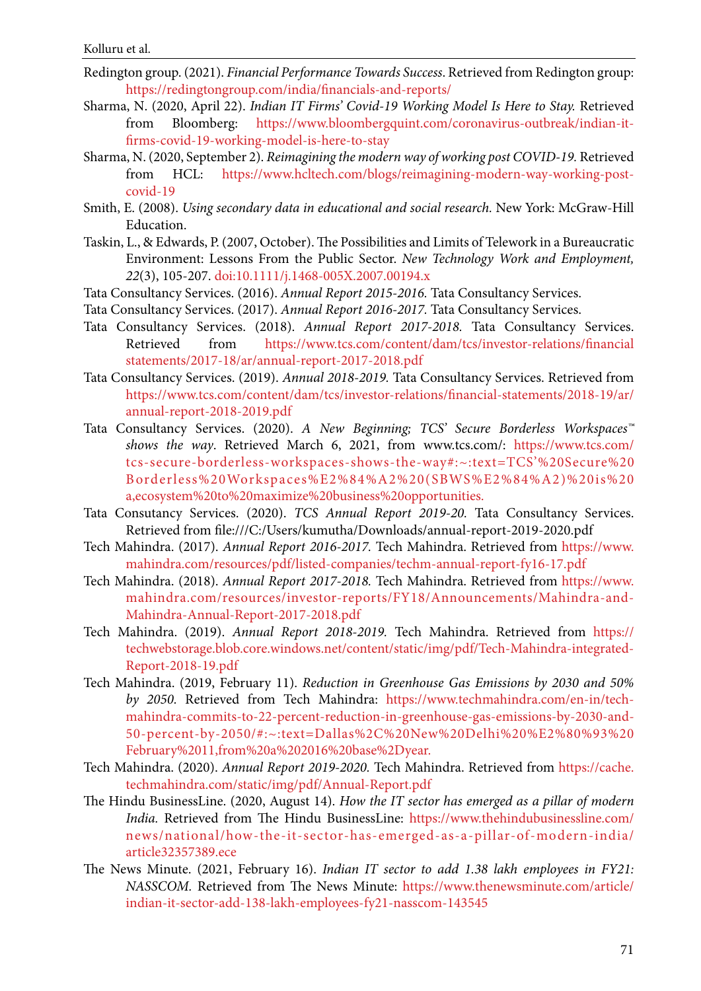- <span id="page-22-0"></span>Redington group. (2021). *Financial Performance Towards Success*. Retrieved from Redington group: [https://redingtongroup.com/india/financials-and-reports/](https://redingtongroup.com/india/financials-and-reports/ )
- Sharma, N. (2020, April 22). *Indian IT Firms' Covid-19 Working Model Is Here to Stay.* Retrieved from Bloomberg: [https://www.bloombergquint.com/coronavirus-outbreak/indian-it](https://www.bloombergquint.com/coronavirus-outbreak/indian-it-  firms-covid-19-working-model-is-here-to-stay )[firms-covid-19-working-model-is-here-to-stay](https://www.bloombergquint.com/coronavirus-outbreak/indian-it-  firms-covid-19-working-model-is-here-to-stay )
- Sharma, N. (2020, September 2). *Reimagining the modern way of working post COVID-19.* Retrieved from HCL: [https://www.hcltech.com/blogs/reimagining-modern-way-working-post](https://www.hcltech.com/blogs/reimagining-modern-way-working-post-  covid-19 )[covid-19](https://www.hcltech.com/blogs/reimagining-modern-way-working-post-  covid-19 )
- Smith, E. (2008). *Using secondary data in educational and social research.* New York: McGraw-Hill Education.
- Taskin, L., & Edwards, P. (2007, October). The Possibilities and Limits of Telework in a Bureaucratic Environment: Lessons From the Public Sector. *New Technology Work and Employment, 22*(3), 105-207. doi:10.1111/j.1468-005X.2007.00194.x
- Tata Consultancy Services. (2016). *Annual Report 2015-2016.* Tata Consultancy Services.
- Tata Consultancy Services. (2017). *Annual Report 2016-2017.* Tata Consultancy Services.
- Tata Consultancy Services. (2018). *Annual Report 2017-2018.* Tata Consultancy Services. Retrieved from https://www.tcs.com/content/dam/tcs/investor-relations/financial [statements/2017-18/ar/annual-report-2017-2018.pdf](https://www.tcs.com/content/dam/tcs/investor-relations/financial   statements/2017-18/ar/annual-report-2017-2018.pdf )
- Tata Consultancy Services. (2019). *Annual 2018-2019.* Tata Consultancy Services. Retrieved from [https://www.tcs.com/content/dam/tcs/investor-relations/financial-statements/2018-19/ar/](https://www.tcs.com/content/dam/tcs/investor-relations/financial-statements/2018-19/ar/  annual-report-2018-2019.pdf ) [annual-report-2018-2019.pdf](https://www.tcs.com/content/dam/tcs/investor-relations/financial-statements/2018-19/ar/  annual-report-2018-2019.pdf )
- Tata Consultancy Services. (2020). *A New Beginning; TCS' Secure Borderless Workspaces™ shows the way*. Retrieved March 6, 2021, from www.tcs.com/: [https://www.tcs.com/](https://www.tcs.com/  tcs-secure-borderless-workspaces-shows-the-way#:~:text=TCS’%20Secure%20  Borde) [tcs-secure-borderless-workspaces-shows-the-way#:~:text=TCS'%20Secure%20](https://www.tcs.com/  tcs-secure-borderless-workspaces-shows-the-way#:~:text=TCS’%20Secure%20  Borde) [B orderless%20Workspaces%E2%84%A2%20\(SBWS%E2%84%A2\)%20is%20](https://www.tcs.com/  tcs-secure-borderless-workspaces-shows-the-way#:~:text=TCS’%20Secure%20  Borde) [a,ecosystem%20to%20maximize%20business%20opportunities.](https://www.tcs.com/  tcs-secure-borderless-workspaces-shows-the-way#:~:text=TCS’%20Secure%20  Borde)
- Tata Consutancy Services. (2020). *TCS Annual Report 2019-20.* Tata Consultancy Services. Retrieved from file:///C:/Users/kumutha/Downloads/annual-report-2019-2020.pdf
- Tech Mahindra. (2017). *Annual Report 2016-2017.* Tech Mahindra. Retrieved from [https://www.](https://www.  mahindra.com/resources/pdf/listed-companies/techm-annual-report-fy16-17.pdf ) [mahindra.com/resources/pdf/listed-companies/techm-annual-report-fy16-17.pdf](https://www.  mahindra.com/resources/pdf/listed-companies/techm-annual-report-fy16-17.pdf )
- Tech Mahindra. (2018). *Annual Report 2017-2018.* Tech Mahindra. Retrieved from [https://www.](https://www.  mahindra.com/resources/investor-reports/FY18/Announcements/Mahindra-and-  Mahindra-Ann) [mahindra.com/resources/investor-reports/FY18/Announcements/Mahindra-and-](https://www.  mahindra.com/resources/investor-reports/FY18/Announcements/Mahindra-and-  Mahindra-Ann)[Mahindra-Annual-Report-2017-2018.pdf](https://www.  mahindra.com/resources/investor-reports/FY18/Announcements/Mahindra-and-  Mahindra-Ann)
- Tech Mahindra. (2019). *Annual Report 2018-2019.* Tech Mahindra. Retrieved from [https://](https://  techwebstorage.blob.core.windows.net/content/static/img/pdf/Tech-Mahindra-integrated-  Report-2018-19.pdf ) [techwebstorage.blob.core.windows.net/content/static/img/pdf/Tech-Mahindra-integrated-](https://  techwebstorage.blob.core.windows.net/content/static/img/pdf/Tech-Mahindra-integrated-  Report-2018-19.pdf )[Report-2018-19.pdf](https://  techwebstorage.blob.core.windows.net/content/static/img/pdf/Tech-Mahindra-integrated-  Report-2018-19.pdf )
- Tech Mahindra. (2019, February 11). *Reduction in Greenhouse Gas Emissions by 2030 and 50% by 2050.* Retrieved from Tech Mahindra: [https://www.techmahindra.com/en-in/tech](https://www.techmahindra.com/en-in/tech-  mahindra-commits-to-22-percent-reduction-in-greenhouse-gas-emissions-by-2030-and-  50-percent-by-2050/#:~:text=Dallas%2C%20New%20Delhi%20%E2%80%93%20  February%2011,from%20a%202016%20base%2Dyear. )[mahindra-commits-to-22-percent-reduction-in-greenhouse-gas-emissions-by-2030-and-](https://www.techmahindra.com/en-in/tech-  mahindra-commits-to-22-percent-reduction-in-greenhouse-gas-emissions-by-2030-and-  50-percent-by-2050/#:~:text=Dallas%2C%20New%20Delhi%20%E2%80%93%20  February%2011,from%20a%202016%20base%2Dyear. )[50-percent-by-2050/#:~:text=Dallas%2C%20New%20Delhi%20%E2%80%93%20](https://www.techmahindra.com/en-in/tech-  mahindra-commits-to-22-percent-reduction-in-greenhouse-gas-emissions-by-2030-and-  50-percent-by-2050/#:~:text=Dallas%2C%20New%20Delhi%20%E2%80%93%20  February%2011,from%20a%202016%20base%2Dyear. ) [February%2011,from%20a%202016%20base%2Dyear.](https://www.techmahindra.com/en-in/tech-  mahindra-commits-to-22-percent-reduction-in-greenhouse-gas-emissions-by-2030-and-  50-percent-by-2050/#:~:text=Dallas%2C%20New%20Delhi%20%E2%80%93%20  February%2011,from%20a%202016%20base%2Dyear. )
- Tech Mahindra. (2020). *Annual Report 2019-2020.* Tech Mahindra. Retrieved from [https://cache.](https://cache.  techmahindra.com/static/img/pdf/Annual-Report.pdf ) [techmahindra.com/static/img/pdf/Annual-Report.pdf](https://cache.  techmahindra.com/static/img/pdf/Annual-Report.pdf )
- The Hindu BusinessLine. (2020, August 14). *How the IT sector has emerged as a pillar of modern India.* Retrieved from The Hindu BusinessLine: [https://www.thehindubusinessline.com/](https://www.thehindubusinessline.com/  news/national/how-the-it-sector-has-emerged-as-a-pillar-of-modern-india/  article32357389.ece ) [news/national/how-the-it-sector-has-emerged-as-a-pillar-of-modern-india/](https://www.thehindubusinessline.com/  news/national/how-the-it-sector-has-emerged-as-a-pillar-of-modern-india/  article32357389.ece ) [article32357389.ece](https://www.thehindubusinessline.com/  news/national/how-the-it-sector-has-emerged-as-a-pillar-of-modern-india/  article32357389.ece )
- The News Minute. (2021, February 16). *Indian IT sector to add 1.38 lakh employees in FY21: NASSCOM.* Retrieved from The News Minute: [https://www.thenewsminute.com/article/](https://www.thenewsminute.com/article/  indian-it-sector-add-138-lakh-employees-fy21-nasscom-143545 ) [indian-it-sector-add-138-lakh-employees-fy21-nasscom-143545](https://www.thenewsminute.com/article/  indian-it-sector-add-138-lakh-employees-fy21-nasscom-143545 )